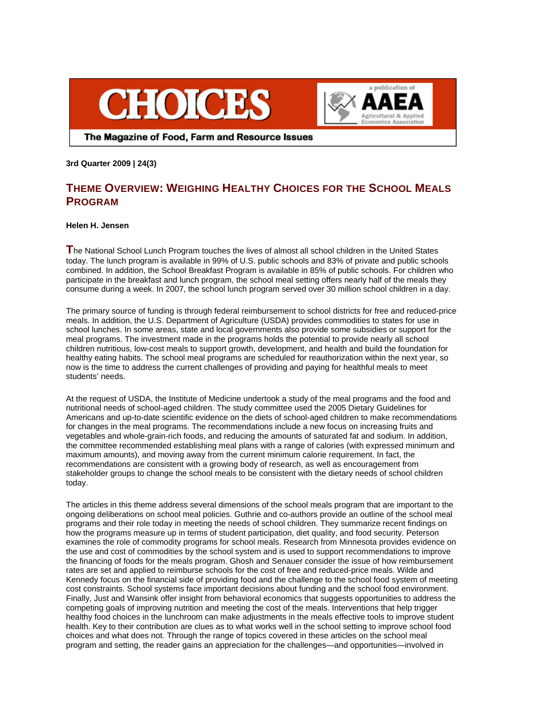



The Magazine of Food, Farm and Resource Issues

**3rd Quarter 2009 | 24(3)** 

# **THEME OVERVIEW: WEIGHING HEALTHY CHOICES FOR THE SCHOOL MEALS PROGRAM**

### **Helen H. Jensen**

**T**he National School Lunch Program touches the lives of almost all school children in the United States today. The lunch program is available in 99% of U.S. public schools and 83% of private and public schools combined. In addition, the School Breakfast Program is available in 85% of public schools. For children who participate in the breakfast and lunch program, the school meal setting offers nearly half of the meals they consume during a week. In 2007, the school lunch program served over 30 million school children in a day.

The primary source of funding is through federal reimbursement to school districts for free and reduced-price meals. In addition, the U.S. Department of Agriculture (USDA) provides commodities to states for use in school lunches. In some areas, state and local governments also provide some subsidies or support for the meal programs. The investment made in the programs holds the potential to provide nearly all school children nutritious, low-cost meals to support growth, development, and health and build the foundation for healthy eating habits. The school meal programs are scheduled for reauthorization within the next year, so now is the time to address the current challenges of providing and paying for healthful meals to meet students' needs.

At the request of USDA, the Institute of Medicine undertook a study of the meal programs and the food and nutritional needs of school-aged children. The study committee used the 2005 Dietary Guidelines for Americans and up-to-date scientific evidence on the diets of school-aged children to make recommendations for changes in the meal programs. The recommendations include a new focus on increasing fruits and vegetables and whole-grain-rich foods, and reducing the amounts of saturated fat and sodium. In addition, the committee recommended establishing meal plans with a range of calories (with expressed minimum and maximum amounts), and moving away from the current minimum calorie requirement. In fact, the recommendations are consistent with a growing body of research, as well as encouragement from stakeholder groups to change the school meals to be consistent with the dietary needs of school children today.

The articles in this theme address several dimensions of the school meals program that are important to the ongoing deliberations on school meal policies. Guthrie and co-authors provide an outline of the school meal programs and their role today in meeting the needs of school children. They summarize recent findings on how the programs measure up in terms of student participation, diet quality, and food security. Peterson examines the role of commodity programs for school meals. Research from Minnesota provides evidence on the use and cost of commodities by the school system and is used to support recommendations to improve the financing of foods for the meals program. Ghosh and Senauer consider the issue of how reimbursement rates are set and applied to reimburse schools for the cost of free and reduced-price meals. Wilde and Kennedy focus on the financial side of providing food and the challenge to the school food system of meeting cost constraints. School systems face important decisions about funding and the school food environment. Finally, Just and Wansink offer insight from behavioral economics that suggests opportunities to address the competing goals of improving nutrition and meeting the cost of the meals. Interventions that help trigger healthy food choices in the lunchroom can make adjustments in the meals effective tools to improve student health. Key to their contribution are clues as to what works well in the school setting to improve school food choices and what does not. Through the range of topics covered in these articles on the school meal program and setting, the reader gains an appreciation for the challenges—and opportunities—involved in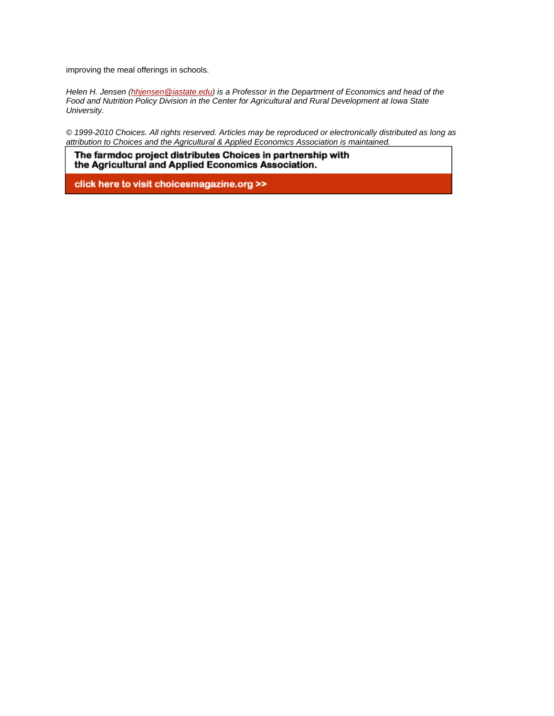improving the meal offerings in schools.

*Helen H. Jensen (hhjensen@iastate.edu) is a Professor in the Department of Economics and head of the Food and Nutrition Policy Division in the Center for Agricultural and Rural Development at Iowa State University.* 

*© 1999-2010 Choices. All rights reserved. Articles may be reproduced or electronically distributed as long as attribution to Choices and the Agricultural & Applied Economics Association is maintained.* 

The farmdoc project distributes Choices in partnership with the Agricultural and Applied Economics Association.

click here to visit choicesmagazine.org >>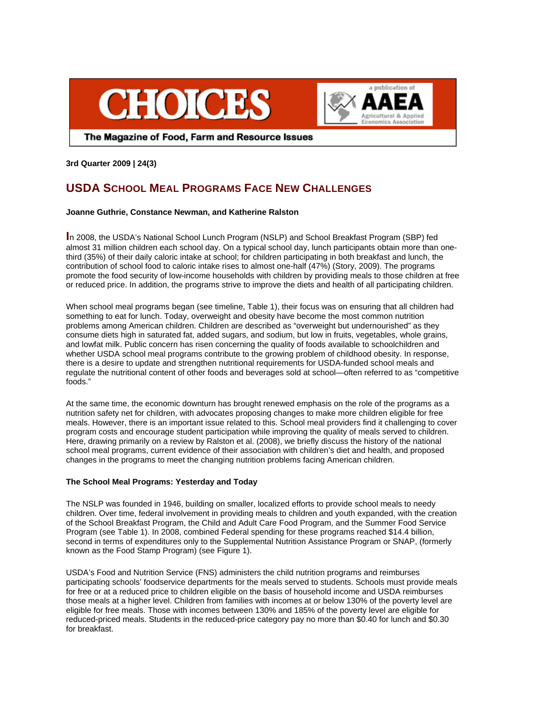



The Magazine of Food, Farm and Resource Issues

**3rd Quarter 2009 | 24(3)** 

# **USDA SCHOOL MEAL PROGRAMS FACE NEW CHALLENGES**

## **Joanne Guthrie, Constance Newman, and Katherine Ralston**

**I**n 2008, the USDA's National School Lunch Program (NSLP) and School Breakfast Program (SBP) fed almost 31 million children each school day. On a typical school day, lunch participants obtain more than onethird (35%) of their daily caloric intake at school; for children participating in both breakfast and lunch, the contribution of school food to caloric intake rises to almost one-half (47%) (Story, 2009). The programs promote the food security of low-income households with children by providing meals to those children at free or reduced price. In addition, the programs strive to improve the diets and health of all participating children.

When school meal programs began (see timeline, Table 1), their focus was on ensuring that all children had something to eat for lunch. Today, overweight and obesity have become the most common nutrition problems among American children. Children are described as "overweight but undernourished" as they consume diets high in saturated fat, added sugars, and sodium, but low in fruits, vegetables, whole grains, and lowfat milk. Public concern has risen concerning the quality of foods available to schoolchildren and whether USDA school meal programs contribute to the growing problem of childhood obesity. In response, there is a desire to update and strengthen nutritional requirements for USDA-funded school meals and regulate the nutritional content of other foods and beverages sold at school—often referred to as "competitive foods."

At the same time, the economic downturn has brought renewed emphasis on the role of the programs as a nutrition safety net for children, with advocates proposing changes to make more children eligible for free meals. However, there is an important issue related to this. School meal providers find it challenging to cover program costs and encourage student participation while improving the quality of meals served to children. Here, drawing primarily on a review by Ralston et al. (2008), we briefly discuss the history of the national school meal programs, current evidence of their association with children's diet and health, and proposed changes in the programs to meet the changing nutrition problems facing American children.

## **The School Meal Programs: Yesterday and Today**

The NSLP was founded in 1946, building on smaller, localized efforts to provide school meals to needy children. Over time, federal involvement in providing meals to children and youth expanded, with the creation of the School Breakfast Program, the Child and Adult Care Food Program, and the Summer Food Service Program (see Table 1). In 2008, combined Federal spending for these programs reached \$14.4 billion, second in terms of expenditures only to the Supplemental Nutrition Assistance Program or SNAP, (formerly known as the Food Stamp Program) (see Figure 1).

USDA's Food and Nutrition Service (FNS) administers the child nutrition programs and reimburses participating schools' foodservice departments for the meals served to students. Schools must provide meals for free or at a reduced price to children eligible on the basis of household income and USDA reimburses those meals at a higher level. Children from families with incomes at or below 130% of the poverty level are eligible for free meals. Those with incomes between 130% and 185% of the poverty level are eligible for reduced-priced meals. Students in the reduced-price category pay no more than \$0.40 for lunch and \$0.30 for breakfast.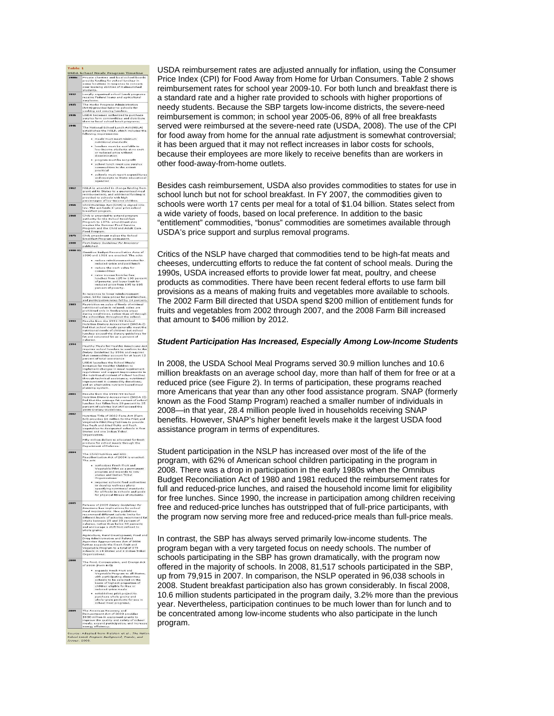Table 1<br>USDA School Meals Program Timeline<br>1900s – Private charitier and local School board **Critical Final Program Transfer Program Transfer Provide funding for school lunches in**<br>provide funding for school lunches in<br>some locations in response to concern<br>over learning abilities of malnourished 1932 .<br>cally organized school lunch program<br>ceive Federal loans and agricultural receive reasonal bank and agricultural<br>surpluses.<br>(WPA) provides labor to schools for<br>cooking and serving lunches.<br>USDA becomes authorized to purchase<br>surplus farm commodities and distribute<br>them to local school lunch prog 1935 .<br>The National School Lunch Act (NSLA)<br>establishes the NSLP, which includes th -<br>- meals must meet minimum<br>- nutritional standards marrimonal standards<br>
and standards<br>
and the standards and the standards<br>
or reduced prior and the standards<br>
or reduced prior and the standards<br>
program must be nonprofit<br>
a chool lunch must use surplus<br>
presented<br>
proced practical<br>schools must report expenditures<br>and receipts to State educational<br>agencies squariate a memoir of the state of the state of the state of the state is a guaranteed meal<br>graph state is a guaranteed meal<br>graph state is a guaranteed meal<br>graph state is a distinction of the distinction<br>problem is prop breakfast program.<br>
ChA is amended to extend program.<br>
authority for the School Breakfast<br>
Program to 1971; amendment also<br>
creates the Summer Food Service<br>
Program and the Child and Adult Care<br>
ChA amendment makes the Sch Food Program<br>
CNA amendment makes the S:<br>
Breakfast Program permanent.<br>
First Dietary Guidelines for Ame<br>
published.<br>
L 1975 1986 .<br>Dmnibus Budget Reconciliation Acts of<br>1980 and 1981 are enacted. The acts: - reduce reimbursement rates f<br>- reduced-price and paid lunch<br>- reduce the cash value for<br>- commodities commodities<br>raise income limit for free<br>lunches from 125 to 130 percent<br>reduced price from 195 to 185<br>percent of poverty. reduced price from 193 to 185<br>
research of powers, parameters are the system of powers as lower relationships are<br>the result of the system of the system of the relationships are related<br>to the system of the system of the  $\label{eq:2} \begin{minipage}[t]{0.9\textwidth} \begin{tabular}{p{0.8cm}} \textbf{F} & \textbf{S} & \textbf{S} & \textbf{S} \\ \textbf{F} & \textbf{S} & \textbf{S} & \textbf{S} & \textbf{S} \\ \textbf{H} & \textbf{S} & \textbf{S} & \textbf{S} & \textbf{S} & \textbf{S} & \textbf{S} & \textbf{S} \\ \textbf{H} & \textbf{S} & \textbf{S} & \textbf{S} & \textbf{S} & \textbf{S} & \textbf{S} & \textbf{S} & \textbf{S} & \text$ Framework 1998-99 School<br>Results from the 1998-99 School<br>Mutrition Dietary Assessment (SNDA II)<br>Indians the average fat centent of stone<br>Junches Residient for SP percent to 35<br>2000 Dietary Guidelines. 2000 Distary Guidelines.<br>
Nutrition Title of 2002 Farm Act (Farm<br>
Null) provides  $\frac{4}{5}$  6 million for the Fruit and<br>
Vegetable Pilot Provides and the provide<br>
Vegetable Find the first of the Shah<br>
States and one Indian ifty million dollars is allocated for fresh<br>roduce for school meals through the<br>repartment of Defense. The Child Nutrition and WIC<br>Reauthorization Act of 2004 is enacted. acti<br>
• authorizes Fresh Fruit and<br>
• Vegetable Pilet as a permanent<br>
• preses and Interpendix to new<br>
preses and Information<br>
• requires achieving fresh<br>
• requires achieving the distribution<br>
• repriving nurritional stan Ralaxsa of 2005 *Detery Covidalinas for*<br>now/zone has implications for chose of a matrix of matrix<br>meaning and requirements. New guidelines for a<br>mean requirements. New guidelines for<br>different levels of activity; recommen and ancourage a shift from refined to<br>whole grains.<br>Agriculture, Rural Development, Food and<br>Parancias Appropriations And Related<br>Agencies Appropriations Act of 2006<br>Wagetable Program to a total of 375<br>Separations.<br>Organiz .<br>The Food, Conservation, and Energy Ac<br>of 2008 (Farm Bill): **DB (Farm Bill):**<br>
• expands Fresh Fruit and<br>
• Vegetable Program to all State<br>
• with participating elementary<br>
• schools to be selected on the<br>
basis of highest proportion of<br>
reduced-price meals reduced-price meals<br>extablishes pilot project to<br>purchase whole grains and<br>whole-grain products for us<br>school meal programs. erican Recovery and<br>tment Act of 2009 pr The American Recovery and<br>Reinvestment Act of 2009 provides<br>\$100 million in equipment grants to<br>improve the quality and safety of school<br>marals, expand participation, and increa<br>energy efficiency. Source: Adapted from Raiston et al., The Nat

USDA reimbursement rates are adjusted annually for inflation, using the Consumer Price Index (CPI) for Food Away from Home for Urban Consumers. Table 2 shows reimbursement rates for school year 2009-10. For both lunch and breakfast there is a standard rate and a higher rate provided to schools with higher proportions of needy students. Because the SBP targets low-income districts, the severe-need reimbursement is common; in school year 2005-06, 89% of all free breakfasts served were reimbursed at the severe-need rate (USDA, 2008). The use of the CPI for food away from home for the annual rate adjustment is somewhat controversial; it has been argued that it may not reflect increases in labor costs for schools, because their employees are more likely to receive benefits than are workers in other food-away-from-home outlets.

Besides cash reimbursement, USDA also provides commodities to states for use in school lunch but not for school breakfast. In FY 2007, the commodities given to schools were worth 17 cents per meal for a total of \$1.04 billion. States select from a wide variety of foods, based on local preference. In addition to the basic "entitlement" commodities, "bonus" commodities are sometimes available through USDA's price support and surplus removal programs.

Critics of the NSLP have charged that commodities tend to be high-fat meats and cheeses, undercutting efforts to reduce the fat content of school meals. During the 1990s, USDA increased efforts to provide lower fat meat, poultry, and cheese products as commodities. There have been recent federal efforts to use farm bill provisions as a means of making fruits and vegetables more available to schools. The 2002 Farm Bill directed that USDA spend \$200 million of entitlement funds for fruits and vegetables from 2002 through 2007, and the 2008 Farm Bill increased that amount to \$406 million by 2012.

#### *Student Participation Has Increased, Especially Among Low-Income Students*

In 2008, the USDA School Meal Programs served 30.9 million lunches and 10.6 million breakfasts on an average school day, more than half of them for free or at a reduced price (see Figure 2). In terms of participation, these programs reached more Americans that year than any other food assistance program. SNAP (formerly known as the Food Stamp Program) reached a smaller number of individuals in 2008—in that year, 28.4 million people lived in households receiving SNAP benefits. However, SNAP's higher benefit levels make it the largest USDA food assistance program in terms of expenditures.

Student participation in the NSLP has increased over most of the life of the program, with 62% of American school children participating in the program in 2008. There was a drop in participation in the early 1980s when the Omnibus Budget Reconciliation Act of 1980 and 1981 reduced the reimbursement rates for full and reduced-price lunches, and raised the household income limit for eligibility for free lunches. Since 1990, the increase in participation among children receiving free and reduced-price lunches has outstripped that of full-price participants, with the program now serving more free and reduced-price meals than full-price meals.

In contrast, the SBP has always served primarily low-income students. The program began with a very targeted focus on needy schools. The number of schools participating in the SBP has grown dramatically, with the program now offered in the majority of schools. In 2008, 81,517 schools participated in the SBP, up from 79,915 in 2007. In comparison, the NSLP operated in 96,038 schools in 2008. Student breakfast participation also has grown considerably. In fiscal 2008, 10.6 million students participated in the program daily, 3.2% more than the previous year. Nevertheless, participation continues to be much lower than for lunch and to be concentrated among low-income students who also participate in the lunch program.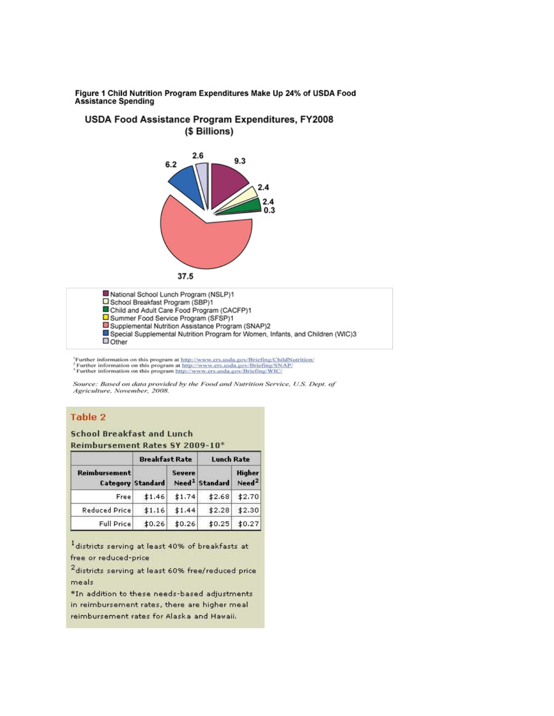Figure 1 Child Nutrition Program Expenditures Make Up 24% of USDA Food **Assistance Spending** 

# USDA Food Assistance Program Expenditures, FY2008 (\$ Billions)



National School Lunch Program (NSLP)1<br>
School Breakfast Program (SBP)1 Child and Adult Care Food Program (CACFP)1 Summer Food Service Program (SFSP)1 Supplemental Nutrition Assistance Program (SNAP)2 Special Supplemental Nutrition Program for Women, Infants, and Children (WIC)3  $\Box$  Other

<sup>1</sup>Further information on this program at http://www.ers.usda.gov/Briefing/ChildNutrition/<sup>2</sup> Further information on this program at http://www.ers.usda.gov/Briefing/SNAP/<br><sup>3</sup> Further information on this program http://ww

Source: Based on data provided by the Food and Nutrition Service, U.S. Dept. of Agriculture, November, 2008.

# **Table 2**

## **School Breakfast and Lunch** Reimbursement Rates SY 2009-10\*

|                      | <b>Breakfast Rate</b>    |               | <b>Lunch Rate</b>          |                                    |
|----------------------|--------------------------|---------------|----------------------------|------------------------------------|
| Reimbursement        | <b>Category Standard</b> | <b>Severe</b> | Need <sup>1</sup> Standard | <b>Higher</b><br>Need <sup>2</sup> |
| Free                 | \$1.46                   | \$1.74        | \$2.68                     | \$2.70                             |
| <b>Reduced Price</b> | \$1.16                   | \$1.44        | \$2.28                     | \$2.30                             |
| <b>Full Price</b>    | \$0.26                   | \$0.26        | \$0.25                     | \$0.27                             |

1districts serving at least 40% of breakfasts at free or reduced-price

 $2$  districts serving at least 60% free/reduced price meals

\*In addition to these needs-based adjustments in reimbursement rates, there are higher meal reimbursement rates for Alaska and Hawaii.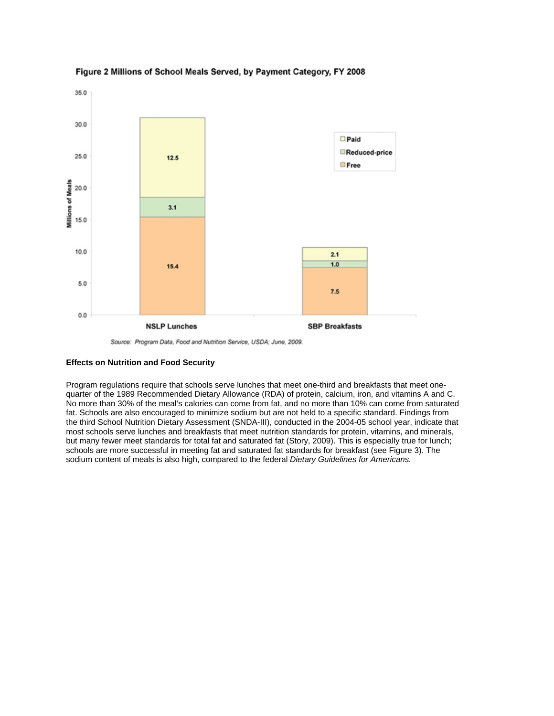

Figure 2 Millions of School Meals Served, by Payment Category, FY 2008

Source: Program Data, Food and Nutrition Service, USDA; June, 2009.

## **Effects on Nutrition and Food Security**

Program regulations require that schools serve lunches that meet one-third and breakfasts that meet onequarter of the 1989 Recommended Dietary Allowance (RDA) of protein, calcium, iron, and vitamins A and C. No more than 30% of the meal's calories can come from fat, and no more than 10% can come from saturated fat. Schools are also encouraged to minimize sodium but are not held to a specific standard. Findings from the third School Nutrition Dietary Assessment (SNDA-III), conducted in the 2004-05 school year, indicate that most schools serve lunches and breakfasts that meet nutrition standards for protein, vitamins, and minerals, but many fewer meet standards for total fat and saturated fat (Story, 2009). This is especially true for lunch; schools are more successful in meeting fat and saturated fat standards for breakfast (see Figure 3). The sodium content of meals is also high, compared to the federal *Dietary Guidelines for Americans.*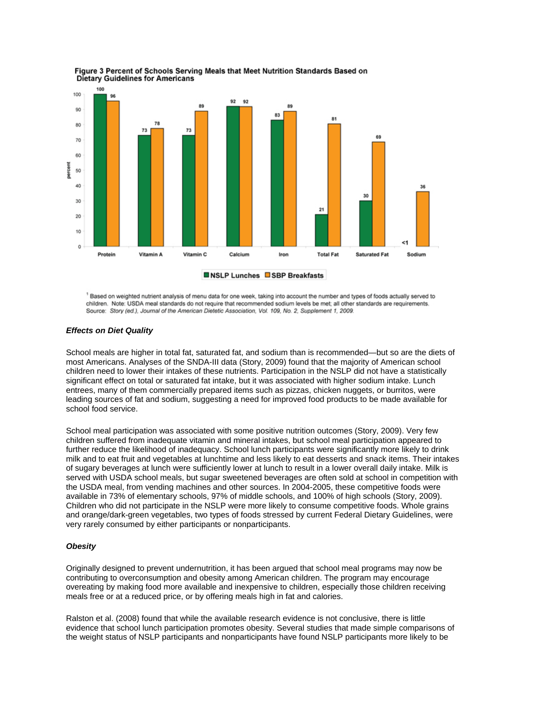

Figure 3 Percent of Schools Serving Meals that Meet Nutrition Standards Based on Dietary Guidelines for Americans

Based on weighted nutrient analysis of menu data for one week, taking into account the number and types of foods actually served to children. Note: USDA meal standards do not require that recommended sodium levels be met; all other standards are requirements. Source: Story (ed.), Journal of the American Dietetic Association, Vol. 109, No. 2, Supplement 1, 2009.

#### *Effects on Diet Quality*

School meals are higher in total fat, saturated fat, and sodium than is recommended—but so are the diets of most Americans. Analyses of the SNDA-III data (Story, 2009) found that the majority of American school children need to lower their intakes of these nutrients. Participation in the NSLP did not have a statistically significant effect on total or saturated fat intake, but it was associated with higher sodium intake. Lunch entrees, many of them commercially prepared items such as pizzas, chicken nuggets, or burritos, were leading sources of fat and sodium, suggesting a need for improved food products to be made available for school food service.

School meal participation was associated with some positive nutrition outcomes (Story, 2009). Very few children suffered from inadequate vitamin and mineral intakes, but school meal participation appeared to further reduce the likelihood of inadequacy. School lunch participants were significantly more likely to drink milk and to eat fruit and vegetables at lunchtime and less likely to eat desserts and snack items. Their intakes of sugary beverages at lunch were sufficiently lower at lunch to result in a lower overall daily intake. Milk is served with USDA school meals, but sugar sweetened beverages are often sold at school in competition with the USDA meal, from vending machines and other sources. In 2004-2005, these competitive foods were available in 73% of elementary schools, 97% of middle schools, and 100% of high schools (Story, 2009). Children who did not participate in the NSLP were more likely to consume competitive foods. Whole grains and orange/dark-green vegetables, two types of foods stressed by current Federal Dietary Guidelines, were very rarely consumed by either participants or nonparticipants.

#### *Obesity*

Originally designed to prevent undernutrition, it has been argued that school meal programs may now be contributing to overconsumption and obesity among American children. The program may encourage overeating by making food more available and inexpensive to children, especially those children receiving meals free or at a reduced price, or by offering meals high in fat and calories.

Ralston et al. (2008) found that while the available research evidence is not conclusive, there is little evidence that school lunch participation promotes obesity. Several studies that made simple comparisons of the weight status of NSLP participants and nonparticipants have found NSLP participants more likely to be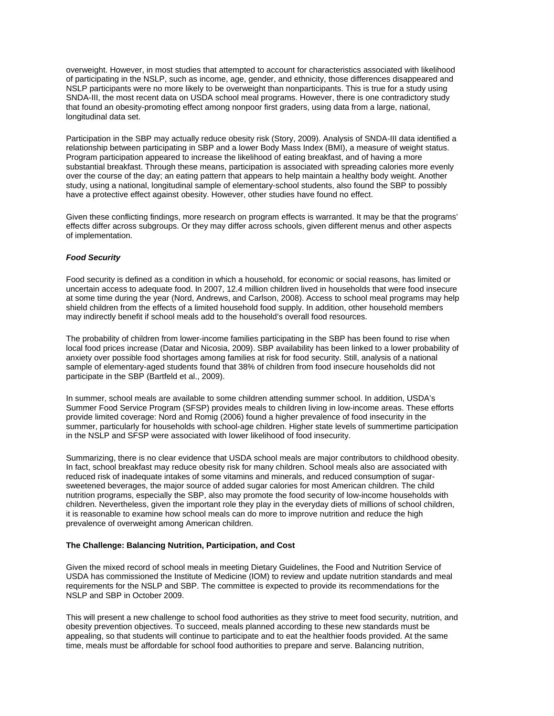overweight. However, in most studies that attempted to account for characteristics associated with likelihood of participating in the NSLP, such as income, age, gender, and ethnicity, those differences disappeared and NSLP participants were no more likely to be overweight than nonparticipants. This is true for a study using SNDA-III, the most recent data on USDA school meal programs. However, there is one contradictory study that found an obesity-promoting effect among nonpoor first graders, using data from a large, national, longitudinal data set.

Participation in the SBP may actually reduce obesity risk (Story, 2009). Analysis of SNDA-III data identified a relationship between participating in SBP and a lower Body Mass Index (BMI), a measure of weight status. Program participation appeared to increase the likelihood of eating breakfast, and of having a more substantial breakfast. Through these means, participation is associated with spreading calories more evenly over the course of the day; an eating pattern that appears to help maintain a healthy body weight. Another study, using a national, longitudinal sample of elementary-school students, also found the SBP to possibly have a protective effect against obesity. However, other studies have found no effect.

Given these conflicting findings, more research on program effects is warranted. It may be that the programs' effects differ across subgroups. Or they may differ across schools, given different menus and other aspects of implementation.

#### *Food Security*

Food security is defined as a condition in which a household, for economic or social reasons, has limited or uncertain access to adequate food. In 2007, 12.4 million children lived in households that were food insecure at some time during the year (Nord, Andrews, and Carlson, 2008). Access to school meal programs may help shield children from the effects of a limited household food supply. In addition, other household members may indirectly benefit if school meals add to the household's overall food resources.

The probability of children from lower-income families participating in the SBP has been found to rise when local food prices increase (Datar and Nicosia, 2009). SBP availability has been linked to a lower probability of anxiety over possible food shortages among families at risk for food security. Still, analysis of a national sample of elementary-aged students found that 38% of children from food insecure households did not participate in the SBP (Bartfeld et al., 2009).

In summer, school meals are available to some children attending summer school. In addition, USDA's Summer Food Service Program (SFSP) provides meals to children living in low-income areas. These efforts provide limited coverage: Nord and Romig (2006) found a higher prevalence of food insecurity in the summer, particularly for households with school-age children. Higher state levels of summertime participation in the NSLP and SFSP were associated with lower likelihood of food insecurity.

Summarizing, there is no clear evidence that USDA school meals are major contributors to childhood obesity. In fact, school breakfast may reduce obesity risk for many children. School meals also are associated with reduced risk of inadequate intakes of some vitamins and minerals, and reduced consumption of sugarsweetened beverages, the major source of added sugar calories for most American children. The child nutrition programs, especially the SBP, also may promote the food security of low-income households with children. Nevertheless, given the important role they play in the everyday diets of millions of school children, it is reasonable to examine how school meals can do more to improve nutrition and reduce the high prevalence of overweight among American children.

#### **The Challenge: Balancing Nutrition, Participation, and Cost**

Given the mixed record of school meals in meeting Dietary Guidelines, the Food and Nutrition Service of USDA has commissioned the Institute of Medicine (IOM) to review and update nutrition standards and meal requirements for the NSLP and SBP. The committee is expected to provide its recommendations for the NSLP and SBP in October 2009.

This will present a new challenge to school food authorities as they strive to meet food security, nutrition, and obesity prevention objectives. To succeed, meals planned according to these new standards must be appealing, so that students will continue to participate and to eat the healthier foods provided. At the same time, meals must be affordable for school food authorities to prepare and serve. Balancing nutrition,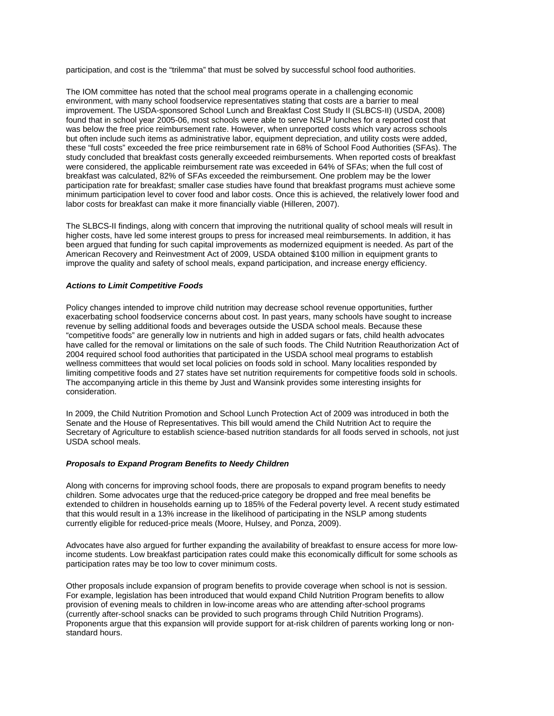participation, and cost is the "trilemma" that must be solved by successful school food authorities.

The IOM committee has noted that the school meal programs operate in a challenging economic environment, with many school foodservice representatives stating that costs are a barrier to meal improvement. The USDA-sponsored School Lunch and Breakfast Cost Study II (SLBCS-II) (USDA, 2008) found that in school year 2005-06, most schools were able to serve NSLP lunches for a reported cost that was below the free price reimbursement rate. However, when unreported costs which vary across schools but often include such items as administrative labor, equipment depreciation, and utility costs were added, these "full costs" exceeded the free price reimbursement rate in 68% of School Food Authorities (SFAs). The study concluded that breakfast costs generally exceeded reimbursements. When reported costs of breakfast were considered, the applicable reimbursement rate was exceeded in 64% of SFAs; when the full cost of breakfast was calculated, 82% of SFAs exceeded the reimbursement. One problem may be the lower participation rate for breakfast; smaller case studies have found that breakfast programs must achieve some minimum participation level to cover food and labor costs. Once this is achieved, the relatively lower food and labor costs for breakfast can make it more financially viable (Hilleren, 2007).

The SLBCS-II findings, along with concern that improving the nutritional quality of school meals will result in higher costs, have led some interest groups to press for increased meal reimbursements. In addition, it has been argued that funding for such capital improvements as modernized equipment is needed. As part of the American Recovery and Reinvestment Act of 2009, USDA obtained \$100 million in equipment grants to improve the quality and safety of school meals, expand participation, and increase energy efficiency.

#### *Actions to Limit Competitive Foods*

Policy changes intended to improve child nutrition may decrease school revenue opportunities, further exacerbating school foodservice concerns about cost. In past years, many schools have sought to increase revenue by selling additional foods and beverages outside the USDA school meals. Because these "competitive foods" are generally low in nutrients and high in added sugars or fats, child health advocates have called for the removal or limitations on the sale of such foods. The Child Nutrition Reauthorization Act of 2004 required school food authorities that participated in the USDA school meal programs to establish wellness committees that would set local policies on foods sold in school. Many localities responded by limiting competitive foods and 27 states have set nutrition requirements for competitive foods sold in schools. The accompanying article in this theme by Just and Wansink provides some interesting insights for consideration.

In 2009, the Child Nutrition Promotion and School Lunch Protection Act of 2009 was introduced in both the Senate and the House of Representatives. This bill would amend the Child Nutrition Act to require the Secretary of Agriculture to establish science-based nutrition standards for all foods served in schools, not just USDA school meals.

#### *Proposals to Expand Program Benefits to Needy Children*

Along with concerns for improving school foods, there are proposals to expand program benefits to needy children. Some advocates urge that the reduced-price category be dropped and free meal benefits be extended to children in households earning up to 185% of the Federal poverty level. A recent study estimated that this would result in a 13% increase in the likelihood of participating in the NSLP among students currently eligible for reduced-price meals (Moore, Hulsey, and Ponza, 2009).

Advocates have also argued for further expanding the availability of breakfast to ensure access for more lowincome students. Low breakfast participation rates could make this economically difficult for some schools as participation rates may be too low to cover minimum costs.

Other proposals include expansion of program benefits to provide coverage when school is not is session. For example, legislation has been introduced that would expand Child Nutrition Program benefits to allow provision of evening meals to children in low-income areas who are attending after-school programs (currently after-school snacks can be provided to such programs through Child Nutrition Programs). Proponents argue that this expansion will provide support for at-risk children of parents working long or nonstandard hours.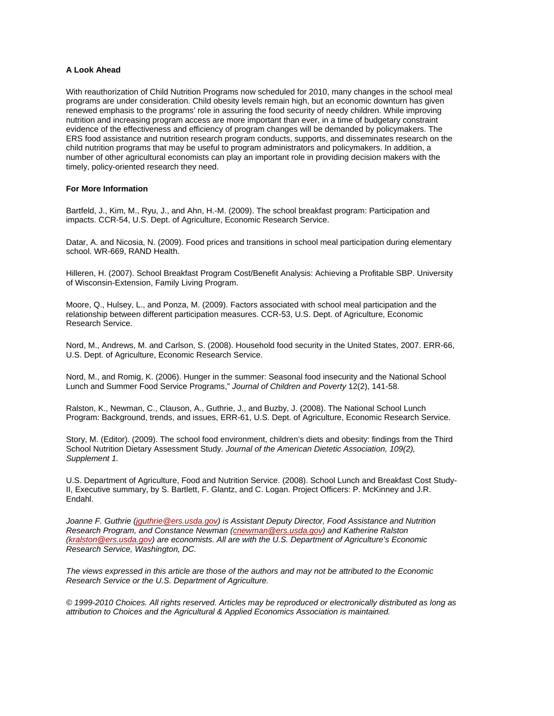## **A Look Ahead**

With reauthorization of Child Nutrition Programs now scheduled for 2010, many changes in the school meal programs are under consideration. Child obesity levels remain high, but an economic downturn has given renewed emphasis to the programs' role in assuring the food security of needy children. While improving nutrition and increasing program access are more important than ever, in a time of budgetary constraint evidence of the effectiveness and efficiency of program changes will be demanded by policymakers. The ERS food assistance and nutrition research program conducts, supports, and disseminates research on the child nutrition programs that may be useful to program administrators and policymakers. In addition, a number of other agricultural economists can play an important role in providing decision makers with the timely, policy-oriented research they need.

#### **For More Information**

Bartfeld, J., Kim, M., Ryu, J., and Ahn, H.-M. (2009). The school breakfast program: Participation and impacts. CCR-54, U.S. Dept. of Agriculture, Economic Research Service.

Datar, A. and Nicosia, N. (2009). Food prices and transitions in school meal participation during elementary school. WR-669, RAND Health.

Hilleren, H. (2007). School Breakfast Program Cost/Benefit Analysis: Achieving a Profitable SBP. University of Wisconsin-Extension, Family Living Program.

Moore, Q., Hulsey, L., and Ponza, M. (2009). Factors associated with school meal participation and the relationship between different participation measures. CCR-53, U.S. Dept. of Agriculture, Economic Research Service.

Nord, M., Andrews, M. and Carlson, S. (2008). Household food security in the United States, 2007. ERR-66, U.S. Dept. of Agriculture, Economic Research Service.

Nord, M., and Romig, K. (2006). Hunger in the summer: Seasonal food insecurity and the National School Lunch and Summer Food Service Programs," *Journal of Children and Poverty* 12(2), 141-58.

Ralston, K., Newman, C., Clauson, A., Guthrie, J., and Buzby, J. (2008). The National School Lunch Program: Background, trends, and issues, ERR-61, U.S. Dept. of Agriculture, Economic Research Service.

Story, M. (Editor). (2009). The school food environment, children's diets and obesity: findings from the Third School Nutrition Dietary Assessment Study. *Journal of the American Dietetic Association, 109(2), Supplement 1.*

U.S. Department of Agriculture, Food and Nutrition Service. (2008). School Lunch and Breakfast Cost Study-II, Executive summary, by S. Bartlett, F. Glantz, and C. Logan. Project Officers: P. McKinney and J.R. Endahl.

Joanne F. Guthrie (*jguthrie@ers.usda.gov*) is Assistant Deputy Director, Food Assistance and Nutrition *Research Program, and Constance Newman (cnewman@ers.usda.gov) and Katherine Ralston (kralston@ers.usda.gov) are economists. All are with the U.S. Department of Agriculture's Economic Research Service, Washington, DC.* 

*The views expressed in this article are those of the authors and may not be attributed to the Economic Research Service or the U.S. Department of Agriculture.* 

*© 1999-2010 Choices. All rights reserved. Articles may be reproduced or electronically distributed as long as attribution to Choices and the Agricultural & Applied Economics Association is maintained.*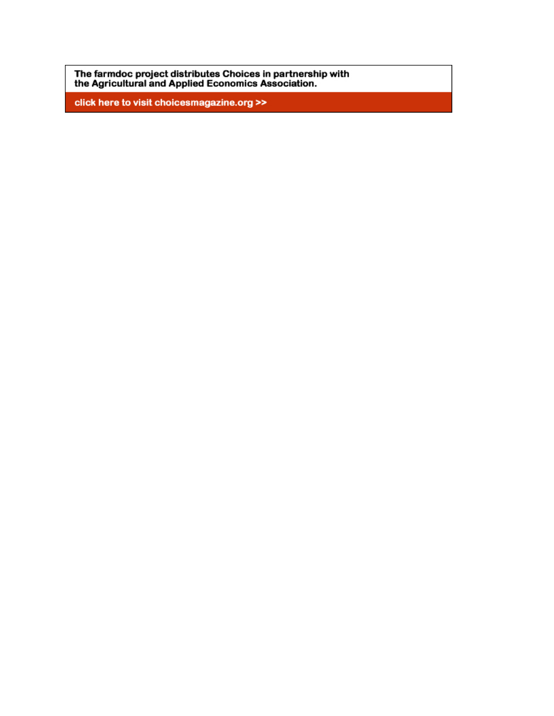The farmdoc project distributes Choices in partnership with<br>the Agricultural and Applied Economics Association.

click here to visit choicesmagazine.org >>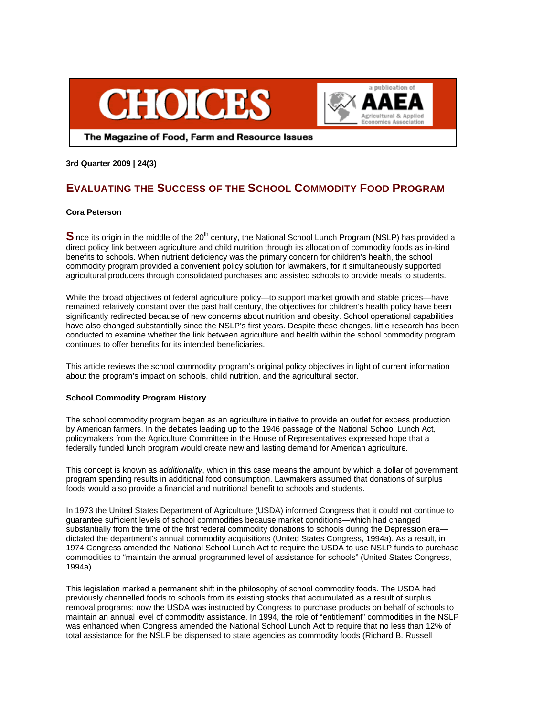



The Magazine of Food, Farm and Resource Issues

**3rd Quarter 2009 | 24(3)** 

# **EVALUATING THE SUCCESS OF THE SCHOOL COMMODITY FOOD PROGRAM**

#### **Cora Peterson**

**S**ince its origin in the middle of the 20<sup>th</sup> century, the National School Lunch Program (NSLP) has provided a direct policy link between agriculture and child nutrition through its allocation of commodity foods as in-kind benefits to schools. When nutrient deficiency was the primary concern for children's health, the school commodity program provided a convenient policy solution for lawmakers, for it simultaneously supported agricultural producers through consolidated purchases and assisted schools to provide meals to students.

While the broad objectives of federal agriculture policy—to support market growth and stable prices—have remained relatively constant over the past half century, the objectives for children's health policy have been significantly redirected because of new concerns about nutrition and obesity. School operational capabilities have also changed substantially since the NSLP's first years. Despite these changes, little research has been conducted to examine whether the link between agriculture and health within the school commodity program continues to offer benefits for its intended beneficiaries.

This article reviews the school commodity program's original policy objectives in light of current information about the program's impact on schools, child nutrition, and the agricultural sector.

## **School Commodity Program History**

The school commodity program began as an agriculture initiative to provide an outlet for excess production by American farmers. In the debates leading up to the 1946 passage of the National School Lunch Act, policymakers from the Agriculture Committee in the House of Representatives expressed hope that a federally funded lunch program would create new and lasting demand for American agriculture.

This concept is known as *additionality*, which in this case means the amount by which a dollar of government program spending results in additional food consumption. Lawmakers assumed that donations of surplus foods would also provide a financial and nutritional benefit to schools and students.

In 1973 the United States Department of Agriculture (USDA) informed Congress that it could not continue to guarantee sufficient levels of school commodities because market conditions—which had changed substantially from the time of the first federal commodity donations to schools during the Depression eradictated the department's annual commodity acquisitions (United States Congress, 1994a). As a result, in 1974 Congress amended the National School Lunch Act to require the USDA to use NSLP funds to purchase commodities to "maintain the annual programmed level of assistance for schools" (United States Congress, 1994a).

This legislation marked a permanent shift in the philosophy of school commodity foods. The USDA had previously channelled foods to schools from its existing stocks that accumulated as a result of surplus removal programs; now the USDA was instructed by Congress to purchase products on behalf of schools to maintain an annual level of commodity assistance. In 1994, the role of "entitlement" commodities in the NSLP was enhanced when Congress amended the National School Lunch Act to require that no less than 12% of total assistance for the NSLP be dispensed to state agencies as commodity foods (Richard B. Russell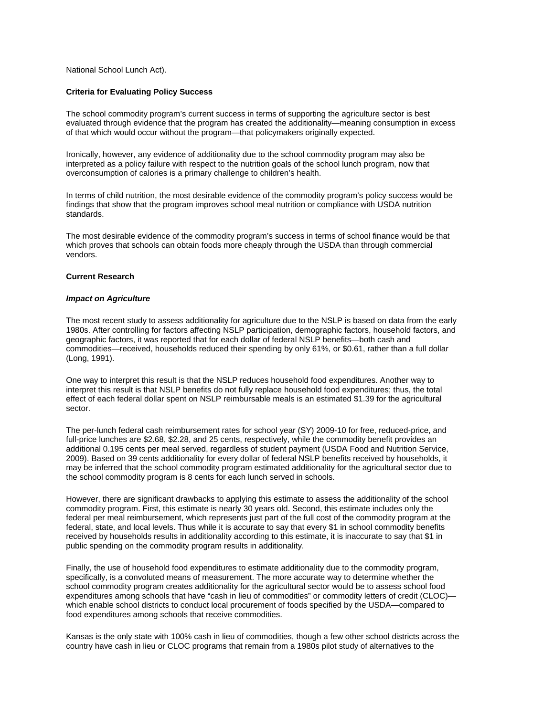National School Lunch Act).

#### **Criteria for Evaluating Policy Success**

The school commodity program's current success in terms of supporting the agriculture sector is best evaluated through evidence that the program has created the additionality—meaning consumption in excess of that which would occur without the program—that policymakers originally expected.

Ironically, however, any evidence of additionality due to the school commodity program may also be interpreted as a policy failure with respect to the nutrition goals of the school lunch program, now that overconsumption of calories is a primary challenge to children's health.

In terms of child nutrition, the most desirable evidence of the commodity program's policy success would be findings that show that the program improves school meal nutrition or compliance with USDA nutrition standards.

The most desirable evidence of the commodity program's success in terms of school finance would be that which proves that schools can obtain foods more cheaply through the USDA than through commercial vendors.

### **Current Research**

#### *Impact on Agriculture*

The most recent study to assess additionality for agriculture due to the NSLP is based on data from the early 1980s. After controlling for factors affecting NSLP participation, demographic factors, household factors, and geographic factors, it was reported that for each dollar of federal NSLP benefits—both cash and commodities—received, households reduced their spending by only 61%, or \$0.61, rather than a full dollar (Long, 1991).

One way to interpret this result is that the NSLP reduces household food expenditures. Another way to interpret this result is that NSLP benefits do not fully replace household food expenditures; thus, the total effect of each federal dollar spent on NSLP reimbursable meals is an estimated \$1.39 for the agricultural sector.

The per-lunch federal cash reimbursement rates for school year (SY) 2009-10 for free, reduced-price, and full-price lunches are \$2.68, \$2.28, and 25 cents, respectively, while the commodity benefit provides an additional 0.195 cents per meal served, regardless of student payment (USDA Food and Nutrition Service, 2009). Based on 39 cents additionality for every dollar of federal NSLP benefits received by households, it may be inferred that the school commodity program estimated additionality for the agricultural sector due to the school commodity program is 8 cents for each lunch served in schools.

However, there are significant drawbacks to applying this estimate to assess the additionality of the school commodity program. First, this estimate is nearly 30 years old. Second, this estimate includes only the federal per meal reimbursement, which represents just part of the full cost of the commodity program at the federal, state, and local levels. Thus while it is accurate to say that every \$1 in school commodity benefits received by households results in additionality according to this estimate, it is inaccurate to say that \$1 in public spending on the commodity program results in additionality.

Finally, the use of household food expenditures to estimate additionality due to the commodity program, specifically, is a convoluted means of measurement. The more accurate way to determine whether the school commodity program creates additionality for the agricultural sector would be to assess school food expenditures among schools that have "cash in lieu of commodities" or commodity letters of credit (CLOC)which enable school districts to conduct local procurement of foods specified by the USDA—compared to food expenditures among schools that receive commodities.

Kansas is the only state with 100% cash in lieu of commodities, though a few other school districts across the country have cash in lieu or CLOC programs that remain from a 1980s pilot study of alternatives to the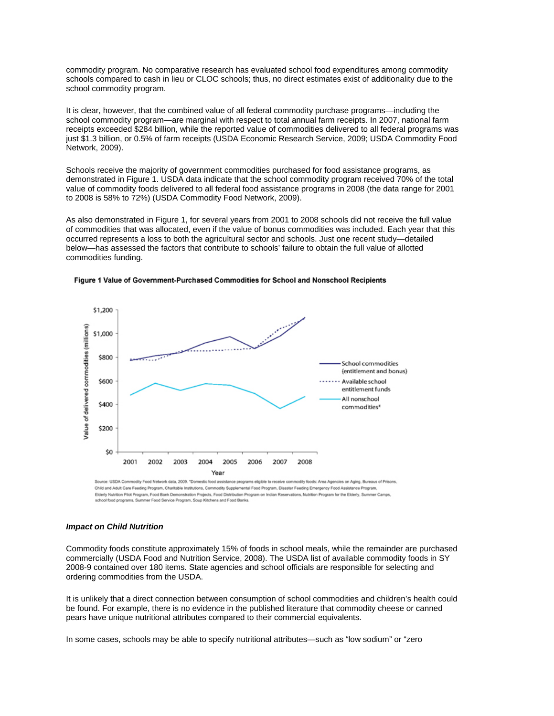commodity program. No comparative research has evaluated school food expenditures among commodity schools compared to cash in lieu or CLOC schools; thus, no direct estimates exist of additionality due to the school commodity program.

It is clear, however, that the combined value of all federal commodity purchase programs—including the school commodity program—are marginal with respect to total annual farm receipts. In 2007, national farm receipts exceeded \$284 billion, while the reported value of commodities delivered to all federal programs was just \$1.3 billion, or 0.5% of farm receipts (USDA Economic Research Service, 2009; USDA Commodity Food Network, 2009).

Schools receive the majority of government commodities purchased for food assistance programs, as demonstrated in Figure 1. USDA data indicate that the school commodity program received 70% of the total value of commodity foods delivered to all federal food assistance programs in 2008 (the data range for 2001 to 2008 is 58% to 72%) (USDA Commodity Food Network, 2009).

As also demonstrated in Figure 1, for several years from 2001 to 2008 schools did not receive the full value of commodities that was allocated, even if the value of bonus commodities was included. Each year that this occurred represents a loss to both the agricultural sector and schools. Just one recent study—detailed below—has assessed the factors that contribute to schools' failure to obtain the full value of allotted commodities funding.



#### Figure 1 Value of Government-Purchased Commodities for School and Nonschool Recipients

Child and Adult Care Feeding Program, Charitable Institutions, Commodity Supplemental Food Program, Disaster Feeding Emergency Food Assistance Program, Elderly Nutrition Pilot Program, Food Bank Demonstration Projects, Food Distribution Program on Indian Reservations, Nutrition Program for the Elderly, Summer Camps school food programs, Summer Food Service Program, Soup Kitchens and Food Banks.

#### *Impact on Child Nutrition*

Commodity foods constitute approximately 15% of foods in school meals, while the remainder are purchased commercially (USDA Food and Nutrition Service, 2008). The USDA list of available commodity foods in SY 2008-9 contained over 180 items. State agencies and school officials are responsible for selecting and ordering commodities from the USDA.

It is unlikely that a direct connection between consumption of school commodities and children's health could be found. For example, there is no evidence in the published literature that commodity cheese or canned pears have unique nutritional attributes compared to their commercial equivalents.

In some cases, schools may be able to specify nutritional attributes—such as "low sodium" or "zero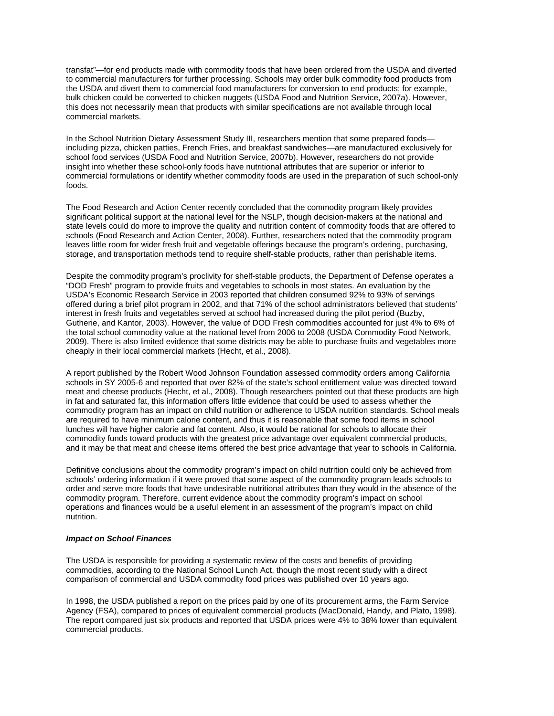transfat"—for end products made with commodity foods that have been ordered from the USDA and diverted to commercial manufacturers for further processing. Schools may order bulk commodity food products from the USDA and divert them to commercial food manufacturers for conversion to end products; for example, bulk chicken could be converted to chicken nuggets (USDA Food and Nutrition Service, 2007a). However, this does not necessarily mean that products with similar specifications are not available through local commercial markets.

In the School Nutrition Dietary Assessment Study III, researchers mention that some prepared foods including pizza, chicken patties, French Fries, and breakfast sandwiches—are manufactured exclusively for school food services (USDA Food and Nutrition Service, 2007b). However, researchers do not provide insight into whether these school-only foods have nutritional attributes that are superior or inferior to commercial formulations or identify whether commodity foods are used in the preparation of such school-only foods.

The Food Research and Action Center recently concluded that the commodity program likely provides significant political support at the national level for the NSLP, though decision-makers at the national and state levels could do more to improve the quality and nutrition content of commodity foods that are offered to schools (Food Research and Action Center, 2008). Further, researchers noted that the commodity program leaves little room for wider fresh fruit and vegetable offerings because the program's ordering, purchasing, storage, and transportation methods tend to require shelf-stable products, rather than perishable items.

Despite the commodity program's proclivity for shelf-stable products, the Department of Defense operates a "DOD Fresh" program to provide fruits and vegetables to schools in most states. An evaluation by the USDA's Economic Research Service in 2003 reported that children consumed 92% to 93% of servings offered during a brief pilot program in 2002, and that 71% of the school administrators believed that students' interest in fresh fruits and vegetables served at school had increased during the pilot period (Buzby, Gutherie, and Kantor, 2003). However, the value of DOD Fresh commodities accounted for just 4% to 6% of the total school commodity value at the national level from 2006 to 2008 (USDA Commodity Food Network, 2009). There is also limited evidence that some districts may be able to purchase fruits and vegetables more cheaply in their local commercial markets (Hecht, et al., 2008).

A report published by the Robert Wood Johnson Foundation assessed commodity orders among California schools in SY 2005-6 and reported that over 82% of the state's school entitlement value was directed toward meat and cheese products (Hecht, et al., 2008). Though researchers pointed out that these products are high in fat and saturated fat, this information offers little evidence that could be used to assess whether the commodity program has an impact on child nutrition or adherence to USDA nutrition standards. School meals are required to have minimum calorie content, and thus it is reasonable that some food items in school lunches will have higher calorie and fat content. Also, it would be rational for schools to allocate their commodity funds toward products with the greatest price advantage over equivalent commercial products, and it may be that meat and cheese items offered the best price advantage that year to schools in California.

Definitive conclusions about the commodity program's impact on child nutrition could only be achieved from schools' ordering information if it were proved that some aspect of the commodity program leads schools to order and serve more foods that have undesirable nutritional attributes than they would in the absence of the commodity program. Therefore, current evidence about the commodity program's impact on school operations and finances would be a useful element in an assessment of the program's impact on child nutrition.

#### *Impact on School Finances*

The USDA is responsible for providing a systematic review of the costs and benefits of providing commodities, according to the National School Lunch Act, though the most recent study with a direct comparison of commercial and USDA commodity food prices was published over 10 years ago.

In 1998, the USDA published a report on the prices paid by one of its procurement arms, the Farm Service Agency (FSA), compared to prices of equivalent commercial products (MacDonald, Handy, and Plato, 1998). The report compared just six products and reported that USDA prices were 4% to 38% lower than equivalent commercial products.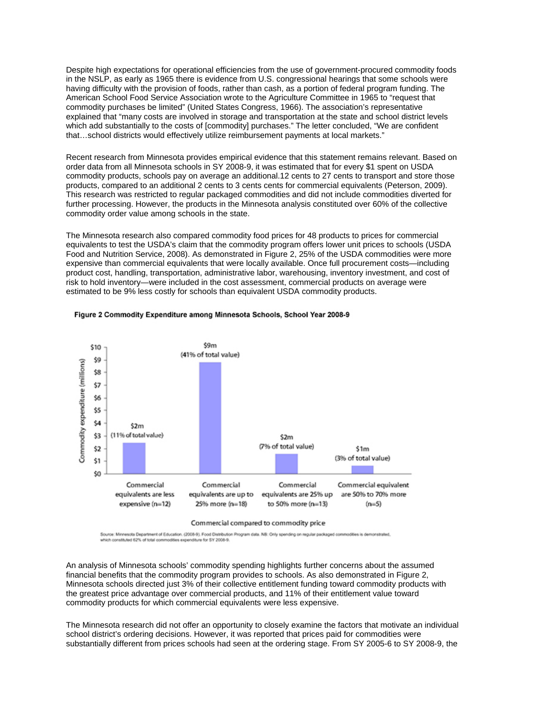Despite high expectations for operational efficiencies from the use of government-procured commodity foods in the NSLP, as early as 1965 there is evidence from U.S. congressional hearings that some schools were having difficulty with the provision of foods, rather than cash, as a portion of federal program funding. The American School Food Service Association wrote to the Agriculture Committee in 1965 to "request that commodity purchases be limited" (United States Congress, 1966). The association's representative explained that "many costs are involved in storage and transportation at the state and school district levels which add substantially to the costs of [commodity] purchases." The letter concluded, "We are confident that…school districts would effectively utilize reimbursement payments at local markets."

Recent research from Minnesota provides empirical evidence that this statement remains relevant. Based on order data from all Minnesota schools in SY 2008-9, it was estimated that for every \$1 spent on USDA commodity products, schools pay on average an additional.12 cents to 27 cents to transport and store those products, compared to an additional 2 cents to 3 cents cents for commercial equivalents (Peterson, 2009). This research was restricted to regular packaged commodities and did not include commodities diverted for further processing. However, the products in the Minnesota analysis constituted over 60% of the collective commodity order value among schools in the state.

The Minnesota research also compared commodity food prices for 48 products to prices for commercial equivalents to test the USDA's claim that the commodity program offers lower unit prices to schools (USDA Food and Nutrition Service, 2008). As demonstrated in Figure 2, 25% of the USDA commodities were more expensive than commercial equivalents that were locally available. Once full procurement costs—including product cost, handling, transportation, administrative labor, warehousing, inventory investment, and cost of risk to hold inventory—were included in the cost assessment, commercial products on average were estimated to be 9% less costly for schools than equivalent USDA commodity products.



#### Figure 2 Commodity Expenditure among Minnesota Schools, School Year 2008-9

Commercial compared to commodity price

te: Minnesota Depa ent of Education. (2008-9). Food Distrib uton Program data. NB: Only spending on regular packaged commodities is demonstrated, which constituted 62% of total commodities expenditure for SY 2008-9

An analysis of Minnesota schools' commodity spending highlights further concerns about the assumed financial benefits that the commodity program provides to schools. As also demonstrated in Figure 2, Minnesota schools directed just 3% of their collective entitlement funding toward commodity products with the greatest price advantage over commercial products, and 11% of their entitlement value toward commodity products for which commercial equivalents were less expensive.

The Minnesota research did not offer an opportunity to closely examine the factors that motivate an individual school district's ordering decisions. However, it was reported that prices paid for commodities were substantially different from prices schools had seen at the ordering stage. From SY 2005-6 to SY 2008-9, the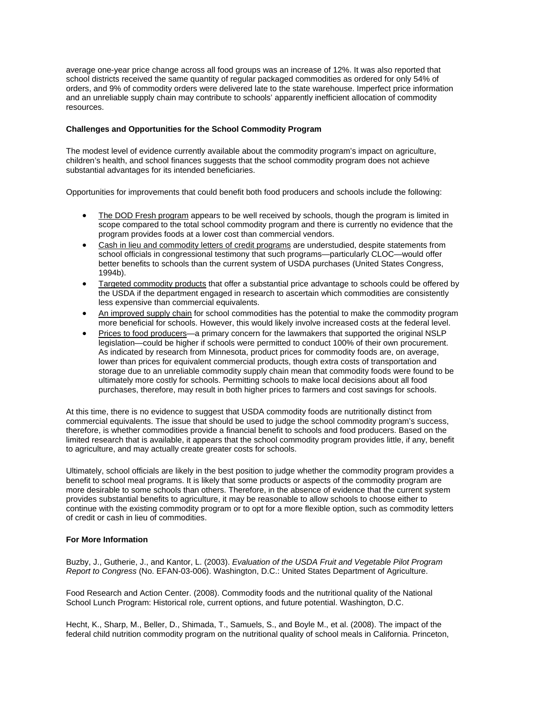average one-year price change across all food groups was an increase of 12%. It was also reported that school districts received the same quantity of regular packaged commodities as ordered for only 54% of orders, and 9% of commodity orders were delivered late to the state warehouse. Imperfect price information and an unreliable supply chain may contribute to schools' apparently inefficient allocation of commodity resources.

## **Challenges and Opportunities for the School Commodity Program**

The modest level of evidence currently available about the commodity program's impact on agriculture, children's health, and school finances suggests that the school commodity program does not achieve substantial advantages for its intended beneficiaries.

Opportunities for improvements that could benefit both food producers and schools include the following:

- The DOD Fresh program appears to be well received by schools, though the program is limited in scope compared to the total school commodity program and there is currently no evidence that the program provides foods at a lower cost than commercial vendors.
- Cash in lieu and commodity letters of credit programs are understudied, despite statements from school officials in congressional testimony that such programs—particularly CLOC—would offer better benefits to schools than the current system of USDA purchases (United States Congress, 1994b).
- Targeted commodity products that offer a substantial price advantage to schools could be offered by the USDA if the department engaged in research to ascertain which commodities are consistently less expensive than commercial equivalents.
- An improved supply chain for school commodities has the potential to make the commodity program more beneficial for schools. However, this would likely involve increased costs at the federal level.
- Prices to food producers—a primary concern for the lawmakers that supported the original NSLP legislation—could be higher if schools were permitted to conduct 100% of their own procurement. As indicated by research from Minnesota, product prices for commodity foods are, on average, lower than prices for equivalent commercial products, though extra costs of transportation and storage due to an unreliable commodity supply chain mean that commodity foods were found to be ultimately more costly for schools. Permitting schools to make local decisions about all food purchases, therefore, may result in both higher prices to farmers and cost savings for schools.

At this time, there is no evidence to suggest that USDA commodity foods are nutritionally distinct from commercial equivalents. The issue that should be used to judge the school commodity program's success, therefore, is whether commodities provide a financial benefit to schools and food producers. Based on the limited research that is available, it appears that the school commodity program provides little, if any, benefit to agriculture, and may actually create greater costs for schools.

Ultimately, school officials are likely in the best position to judge whether the commodity program provides a benefit to school meal programs. It is likely that some products or aspects of the commodity program are more desirable to some schools than others. Therefore, in the absence of evidence that the current system provides substantial benefits to agriculture, it may be reasonable to allow schools to choose either to continue with the existing commodity program or to opt for a more flexible option, such as commodity letters of credit or cash in lieu of commodities.

## **For More Information**

Buzby, J., Gutherie, J., and Kantor, L. (2003). *Evaluation of the USDA Fruit and Vegetable Pilot Program Report to Congress* (No. EFAN-03-006). Washington, D.C.: United States Department of Agriculture.

Food Research and Action Center. (2008). Commodity foods and the nutritional quality of the National School Lunch Program: Historical role, current options, and future potential. Washington, D.C.

Hecht, K., Sharp, M., Beller, D., Shimada, T., Samuels, S., and Boyle M., et al. (2008). The impact of the federal child nutrition commodity program on the nutritional quality of school meals in California. Princeton,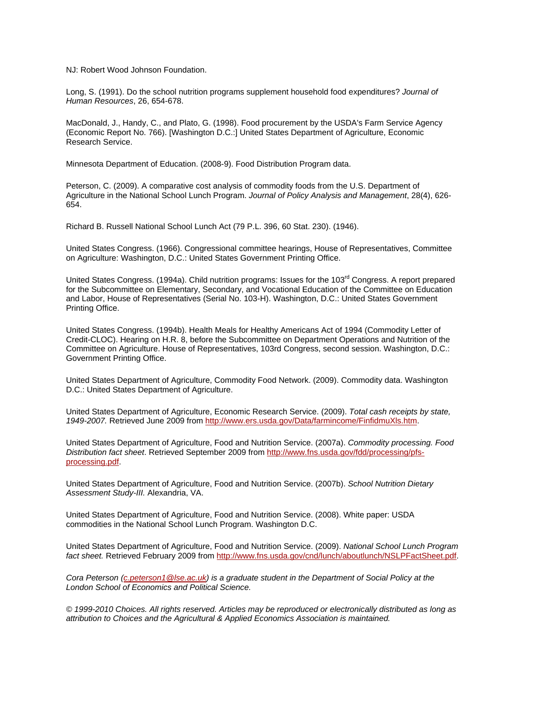NJ: Robert Wood Johnson Foundation.

Long, S. (1991). Do the school nutrition programs supplement household food expenditures? *Journal of Human Resources*, 26, 654-678.

MacDonald, J., Handy, C., and Plato, G. (1998). Food procurement by the USDA's Farm Service Agency (Economic Report No. 766). [Washington D.C.:] United States Department of Agriculture, Economic Research Service.

Minnesota Department of Education. (2008-9). Food Distribution Program data.

Peterson, C. (2009). A comparative cost analysis of commodity foods from the U.S. Department of Agriculture in the National School Lunch Program. *Journal of Policy Analysis and Management*, 28(4), 626- 654.

Richard B. Russell National School Lunch Act (79 P.L. 396, 60 Stat. 230). (1946).

United States Congress. (1966). Congressional committee hearings, House of Representatives, Committee on Agriculture: Washington, D.C.: United States Government Printing Office.

United States Congress. (1994a). Child nutrition programs: Issues for the 103<sup>rd</sup> Congress. A report prepared for the Subcommittee on Elementary, Secondary, and Vocational Education of the Committee on Education and Labor, House of Representatives (Serial No. 103-H). Washington, D.C.: United States Government Printing Office.

United States Congress. (1994b). Health Meals for Healthy Americans Act of 1994 (Commodity Letter of Credit-CLOC). Hearing on H.R. 8, before the Subcommittee on Department Operations and Nutrition of the Committee on Agriculture. House of Representatives, 103rd Congress, second session. Washington, D.C.: Government Printing Office.

United States Department of Agriculture, Commodity Food Network. (2009). Commodity data. Washington D.C.: United States Department of Agriculture.

United States Department of Agriculture, Economic Research Service. (2009). *Total cash receipts by state, 1949-2007.* Retrieved June 2009 from http://www.ers.usda.gov/Data/farmincome/FinfidmuXls.htm.

United States Department of Agriculture, Food and Nutrition Service. (2007a). *Commodity processing. Food Distribution fact sheet*. Retrieved September 2009 from http://www.fns.usda.gov/fdd/processing/pfsprocessing.pdf.

United States Department of Agriculture, Food and Nutrition Service. (2007b). *School Nutrition Dietary Assessment Study-III.* Alexandria, VA.

United States Department of Agriculture, Food and Nutrition Service. (2008). White paper: USDA commodities in the National School Lunch Program. Washington D.C.

United States Department of Agriculture, Food and Nutrition Service. (2009). *National School Lunch Program fact sheet.* Retrieved February 2009 from http://www.fns.usda.gov/cnd/lunch/aboutlunch/NSLPFactSheet.pdf.

*Cora Peterson (c.peterson1@lse.ac.uk) is a graduate student in the Department of Social Policy at the London School of Economics and Political Science.* 

*© 1999-2010 Choices. All rights reserved. Articles may be reproduced or electronically distributed as long as attribution to Choices and the Agricultural & Applied Economics Association is maintained.*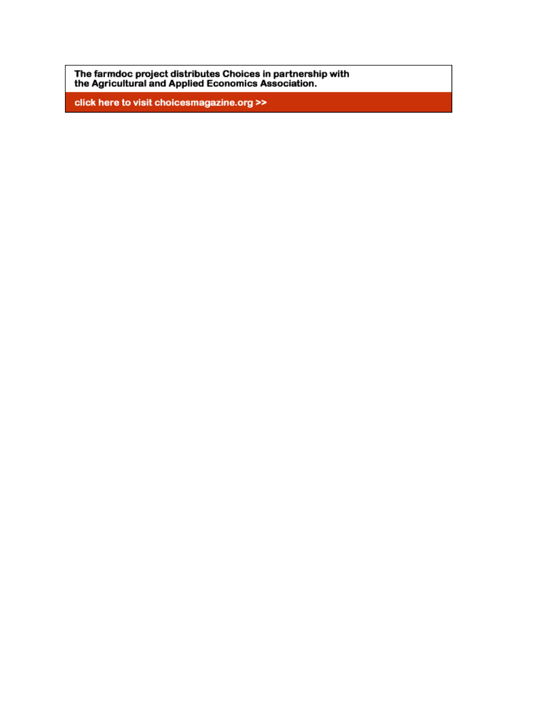The farmdoc project distributes Choices in partnership with<br>the Agricultural and Applied Economics Association.

click here to visit choicesmagazine.org >>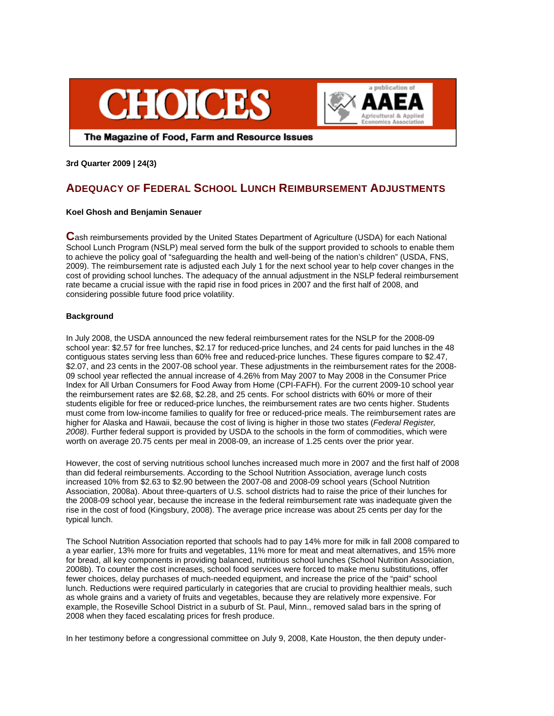



The Magazine of Food, Farm and Resource Issues

**3rd Quarter 2009 | 24(3)** 

# **ADEQUACY OF FEDERAL SCHOOL LUNCH REIMBURSEMENT ADJUSTMENTS**

## **Koel Ghosh and Benjamin Senauer**

**C**ash reimbursements provided by the United States Department of Agriculture (USDA) for each National School Lunch Program (NSLP) meal served form the bulk of the support provided to schools to enable them to achieve the policy goal of "safeguarding the health and well-being of the nation's children" (USDA, FNS, 2009). The reimbursement rate is adjusted each July 1 for the next school year to help cover changes in the cost of providing school lunches. The adequacy of the annual adjustment in the NSLP federal reimbursement rate became a crucial issue with the rapid rise in food prices in 2007 and the first half of 2008, and considering possible future food price volatility.

## **Background**

In July 2008, the USDA announced the new federal reimbursement rates for the NSLP for the 2008-09 school year: \$2.57 for free lunches, \$2.17 for reduced-price lunches, and 24 cents for paid lunches in the 48 contiguous states serving less than 60% free and reduced-price lunches. These figures compare to \$2.47, \$2.07, and 23 cents in the 2007-08 school year. These adjustments in the reimbursement rates for the 2008- 09 school year reflected the annual increase of 4.26% from May 2007 to May 2008 in the Consumer Price Index for All Urban Consumers for Food Away from Home (CPI-FAFH). For the current 2009-10 school year the reimbursement rates are \$2.68, \$2.28, and 25 cents. For school districts with 60% or more of their students eligible for free or reduced-price lunches, the reimbursement rates are two cents higher. Students must come from low-income families to qualify for free or reduced-price meals. The reimbursement rates are higher for Alaska and Hawaii, because the cost of living is higher in those two states (*Federal Register, 2008)*. Further federal support is provided by USDA to the schools in the form of commodities, which were worth on average 20.75 cents per meal in 2008-09, an increase of 1.25 cents over the prior year.

However, the cost of serving nutritious school lunches increased much more in 2007 and the first half of 2008 than did federal reimbursements. According to the School Nutrition Association, average lunch costs increased 10% from \$2.63 to \$2.90 between the 2007-08 and 2008-09 school years (School Nutrition Association, 2008a). About three-quarters of U.S. school districts had to raise the price of their lunches for the 2008-09 school year, because the increase in the federal reimbursement rate was inadequate given the rise in the cost of food (Kingsbury, 2008). The average price increase was about 25 cents per day for the typical lunch.

The School Nutrition Association reported that schools had to pay 14% more for milk in fall 2008 compared to a year earlier, 13% more for fruits and vegetables, 11% more for meat and meat alternatives, and 15% more for bread, all key components in providing balanced, nutritious school lunches (School Nutrition Association, 2008b). To counter the cost increases, school food services were forced to make menu substitutions, offer fewer choices, delay purchases of much-needed equipment, and increase the price of the "paid" school lunch. Reductions were required particularly in categories that are crucial to providing healthier meals, such as whole grains and a variety of fruits and vegetables, because they are relatively more expensive. For example, the Roseville School District in a suburb of St. Paul, Minn., removed salad bars in the spring of 2008 when they faced escalating prices for fresh produce.

In her testimony before a congressional committee on July 9, 2008, Kate Houston, the then deputy under-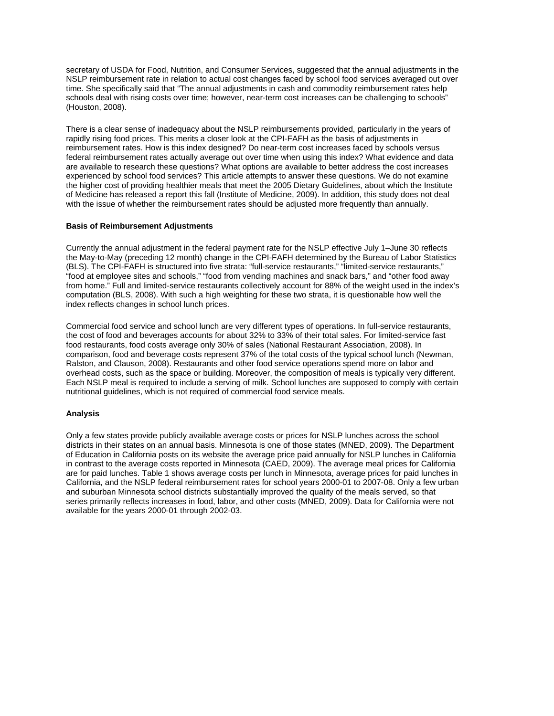secretary of USDA for Food, Nutrition, and Consumer Services, suggested that the annual adjustments in the NSLP reimbursement rate in relation to actual cost changes faced by school food services averaged out over time. She specifically said that "The annual adjustments in cash and commodity reimbursement rates help schools deal with rising costs over time; however, near-term cost increases can be challenging to schools" (Houston, 2008).

There is a clear sense of inadequacy about the NSLP reimbursements provided, particularly in the years of rapidly rising food prices. This merits a closer look at the CPI-FAFH as the basis of adjustments in reimbursement rates. How is this index designed? Do near-term cost increases faced by schools versus federal reimbursement rates actually average out over time when using this index? What evidence and data are available to research these questions? What options are available to better address the cost increases experienced by school food services? This article attempts to answer these questions. We do not examine the higher cost of providing healthier meals that meet the 2005 Dietary Guidelines, about which the Institute of Medicine has released a report this fall (Institute of Medicine, 2009). In addition, this study does not deal with the issue of whether the reimbursement rates should be adjusted more frequently than annually.

## **Basis of Reimbursement Adjustments**

Currently the annual adjustment in the federal payment rate for the NSLP effective July 1–June 30 reflects the May-to-May (preceding 12 month) change in the CPI-FAFH determined by the Bureau of Labor Statistics (BLS). The CPI-FAFH is structured into five strata: "full-service restaurants," "limited-service restaurants," "food at employee sites and schools," "food from vending machines and snack bars," and "other food away from home." Full and limited-service restaurants collectively account for 88% of the weight used in the index's computation (BLS, 2008). With such a high weighting for these two strata, it is questionable how well the index reflects changes in school lunch prices.

Commercial food service and school lunch are very different types of operations. In full-service restaurants, the cost of food and beverages accounts for about 32% to 33% of their total sales. For limited-service fast food restaurants, food costs average only 30% of sales (National Restaurant Association, 2008). In comparison, food and beverage costs represent 37% of the total costs of the typical school lunch (Newman, Ralston, and Clauson, 2008). Restaurants and other food service operations spend more on labor and overhead costs, such as the space or building. Moreover, the composition of meals is typically very different. Each NSLP meal is required to include a serving of milk. School lunches are supposed to comply with certain nutritional guidelines, which is not required of commercial food service meals.

#### **Analysis**

Only a few states provide publicly available average costs or prices for NSLP lunches across the school districts in their states on an annual basis. Minnesota is one of those states (MNED, 2009). The Department of Education in California posts on its website the average price paid annually for NSLP lunches in California in contrast to the average costs reported in Minnesota (CAED, 2009). The average meal prices for California are for paid lunches. Table 1 shows average costs per lunch in Minnesota, average prices for paid lunches in California, and the NSLP federal reimbursement rates for school years 2000-01 to 2007-08. Only a few urban and suburban Minnesota school districts substantially improved the quality of the meals served, so that series primarily reflects increases in food, labor, and other costs (MNED, 2009). Data for California were not available for the years 2000-01 through 2002-03.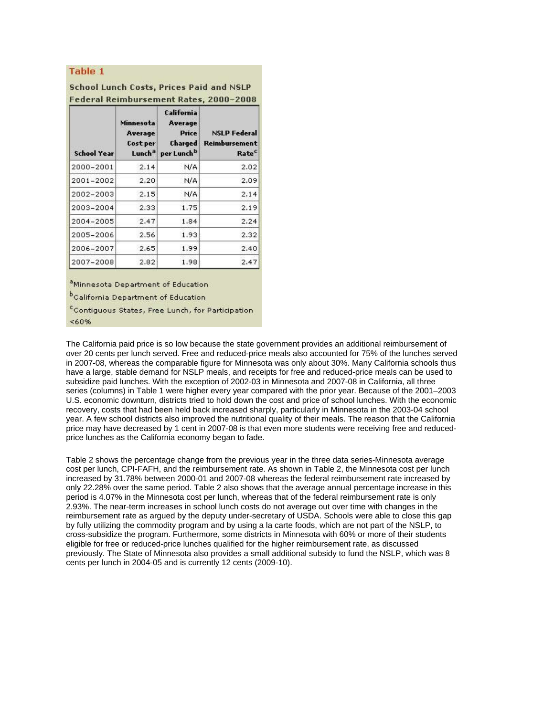## **Table 1**

## **School Lunch Costs, Prices Paid and NSLP** Federal Reimbursement Rates, 2000-2008

| <b>School Year</b> | Minnesota<br><b>Average</b><br>Cost per<br>Lunch <sup>a</sup> | California<br><b>Average</b><br>Price<br><b>Charged</b><br>per Lunch <sup>b</sup> | <b>NSLP Federal</b><br>Reimbursement<br>Rate <sup>c</sup> |
|--------------------|---------------------------------------------------------------|-----------------------------------------------------------------------------------|-----------------------------------------------------------|
| 2000-2001          | 2.14                                                          | N/A                                                                               | 2.02                                                      |
| 2001-2002          | 2.20                                                          | N/A                                                                               | 2.09                                                      |
| 2002-2003          | 2.15                                                          | N/A                                                                               | 2.14                                                      |
| 2003-2004          | 2.33                                                          | 1.75                                                                              | 2.19                                                      |
| 2004-2005          | 2.47                                                          | 1.84                                                                              | 2.24                                                      |
| 2005-2006          | 2.56                                                          | 1.93                                                                              | 2.32                                                      |
| 2006-2007          | 2.65                                                          | 1.99                                                                              | 2.40                                                      |
| 2007-2008          | 2.82                                                          | 1.98                                                                              | 2.47                                                      |

<sup>a</sup> Minnesota Department of Education

**b**California Department of Education

<sup>C</sup>Contiguous States, Free Lunch, for Participation  $<60%$ 

The California paid price is so low because the state government provides an additional reimbursement of over 20 cents per lunch served. Free and reduced-price meals also accounted for 75% of the lunches served in 2007-08, whereas the comparable figure for Minnesota was only about 30%. Many California schools thus have a large, stable demand for NSLP meals, and receipts for free and reduced-price meals can be used to subsidize paid lunches. With the exception of 2002-03 in Minnesota and 2007-08 in California, all three series (columns) in Table 1 were higher every year compared with the prior year. Because of the 2001–2003 U.S. economic downturn, districts tried to hold down the cost and price of school lunches. With the economic recovery, costs that had been held back increased sharply, particularly in Minnesota in the 2003-04 school year. A few school districts also improved the nutritional quality of their meals. The reason that the California price may have decreased by 1 cent in 2007-08 is that even more students were receiving free and reducedprice lunches as the California economy began to fade.

Table 2 shows the percentage change from the previous year in the three data series-Minnesota average cost per lunch, CPI-FAFH, and the reimbursement rate. As shown in Table 2, the Minnesota cost per lunch increased by 31.78% between 2000-01 and 2007-08 whereas the federal reimbursement rate increased by only 22.28% over the same period. Table 2 also shows that the average annual percentage increase in this period is 4.07% in the Minnesota cost per lunch, whereas that of the federal reimbursement rate is only 2.93%. The near-term increases in school lunch costs do not average out over time with changes in the reimbursement rate as argued by the deputy under-secretary of USDA. Schools were able to close this gap by fully utilizing the commodity program and by using a la carte foods, which are not part of the NSLP, to cross-subsidize the program. Furthermore, some districts in Minnesota with 60% or more of their students eligible for free or reduced-price lunches qualified for the higher reimbursement rate, as discussed previously. The State of Minnesota also provides a small additional subsidy to fund the NSLP, which was 8 cents per lunch in 2004-05 and is currently 12 cents (2009-10).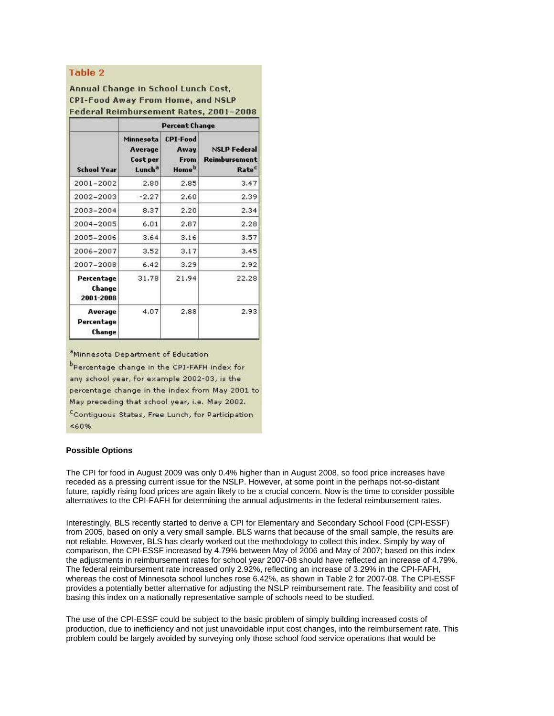## Table 2

Annual Change in School Lunch Cost, **CPI-Food Away From Home, and NSLP** Federal Reimbursement Rates, 2001-2008

| <b>School Year</b>                | <b>Percent Change</b>                                                |                                                             |                                                           |  |
|-----------------------------------|----------------------------------------------------------------------|-------------------------------------------------------------|-----------------------------------------------------------|--|
|                                   | Minnesota<br><b>Average</b><br><b>Cost per</b><br>Lunch <sup>a</sup> | <b>CPI-Food</b><br>Away<br><b>From</b><br>Home <sup>b</sup> | <b>NSLP Federal</b><br>Reimbursement<br>Rate <sup>c</sup> |  |
| 2001-2002                         | 2,80                                                                 | 2.85                                                        | 3.47                                                      |  |
| 2002-2003                         | $-2.27$                                                              | 2.60                                                        | 2.39                                                      |  |
| 2003-2004                         | 8.37                                                                 | 2.20                                                        | 2.34                                                      |  |
| 2004-2005                         | 6.01                                                                 | 2.87                                                        | 2.28                                                      |  |
| 2005-2006                         | 3.64                                                                 | 3.16                                                        | 3.57                                                      |  |
| 2006-2007                         | 3.52                                                                 | 3.17                                                        | 3.45                                                      |  |
| 2007-2008                         | 6.42                                                                 | 3.29                                                        | 2.92                                                      |  |
| Percentage<br>Change<br>2001-2008 | 31.78                                                                | 21.94                                                       | 22.28                                                     |  |
| Average<br>Percentage<br>Change   | 4.07                                                                 | 2.88                                                        | 2.93                                                      |  |

## <sup>a</sup> Minnesota Department of Education

<sup>b</sup>Percentage change in the CPI-FAFH index for any school year, for example 2002-03, is the percentage change in the index from May 2001 to May preceding that school year, i.e. May 2002. <sup>C</sup>Contiguous States, Free Lunch, for Participation <60%

#### **Possible Options**

The CPI for food in August 2009 was only 0.4% higher than in August 2008, so food price increases have receded as a pressing current issue for the NSLP. However, at some point in the perhaps not-so-distant future, rapidly rising food prices are again likely to be a crucial concern. Now is the time to consider possible alternatives to the CPI-FAFH for determining the annual adjustments in the federal reimbursement rates.

Interestingly, BLS recently started to derive a CPI for Elementary and Secondary School Food (CPI-ESSF) from 2005, based on only a very small sample. BLS warns that because of the small sample, the results are not reliable. However, BLS has clearly worked out the methodology to collect this index. Simply by way of comparison, the CPI-ESSF increased by 4.79% between May of 2006 and May of 2007; based on this index the adjustments in reimbursement rates for school year 2007-08 should have reflected an increase of 4.79%. The federal reimbursement rate increased only 2.92%, reflecting an increase of 3.29% in the CPI-FAFH, whereas the cost of Minnesota school lunches rose 6.42%, as shown in Table 2 for 2007-08. The CPI-ESSF provides a potentially better alternative for adjusting the NSLP reimbursement rate. The feasibility and cost of basing this index on a nationally representative sample of schools need to be studied.

The use of the CPI-ESSF could be subject to the basic problem of simply building increased costs of production, due to inefficiency and not just unavoidable input cost changes, into the reimbursement rate. This problem could be largely avoided by surveying only those school food service operations that would be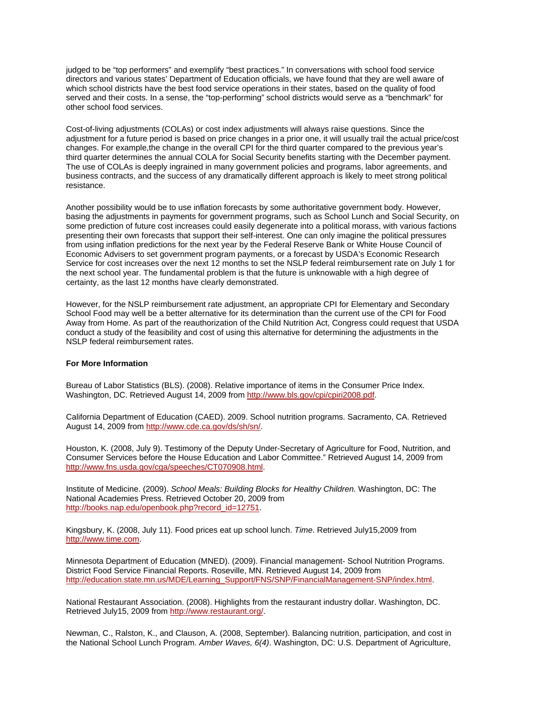judged to be "top performers" and exemplify "best practices." In conversations with school food service directors and various states' Department of Education officials, we have found that they are well aware of which school districts have the best food service operations in their states, based on the quality of food served and their costs. In a sense, the "top-performing" school districts would serve as a "benchmark" for other school food services.

Cost-of-living adjustments (COLAs) or cost index adjustments will always raise questions. Since the adjustment for a future period is based on price changes in a prior one, it will usually trail the actual price/cost changes. For example,the change in the overall CPI for the third quarter compared to the previous year's third quarter determines the annual COLA for Social Security benefits starting with the December payment. The use of COLAs is deeply ingrained in many government policies and programs, labor agreements, and business contracts, and the success of any dramatically different approach is likely to meet strong political resistance.

Another possibility would be to use inflation forecasts by some authoritative government body. However, basing the adjustments in payments for government programs, such as School Lunch and Social Security, on some prediction of future cost increases could easily degenerate into a political morass, with various factions presenting their own forecasts that support their self-interest. One can only imagine the political pressures from using inflation predictions for the next year by the Federal Reserve Bank or White House Council of Economic Advisers to set government program payments, or a forecast by USDA's Economic Research Service for cost increases over the next 12 months to set the NSLP federal reimbursement rate on July 1 for the next school year. The fundamental problem is that the future is unknowable with a high degree of certainty, as the last 12 months have clearly demonstrated.

However, for the NSLP reimbursement rate adjustment, an appropriate CPI for Elementary and Secondary School Food may well be a better alternative for its determination than the current use of the CPI for Food Away from Home. As part of the reauthorization of the Child Nutrition Act, Congress could request that USDA conduct a study of the feasibility and cost of using this alternative for determining the adjustments in the NSLP federal reimbursement rates.

## **For More Information**

Bureau of Labor Statistics (BLS). (2008). Relative importance of items in the Consumer Price Index. Washington, DC. Retrieved August 14, 2009 from http://www.bls.gov/cpi/cpiri2008.pdf.

California Department of Education (CAED). 2009. School nutrition programs. Sacramento, CA. Retrieved August 14, 2009 from http://www.cde.ca.gov/ds/sh/sn/.

Houston, K. (2008, July 9). Testimony of the Deputy Under-Secretary of Agriculture for Food, Nutrition, and Consumer Services before the House Education and Labor Committee." Retrieved August 14, 2009 from http://www.fns.usda.gov/cga/speeches/CT070908.html.

Institute of Medicine. (2009). *School Meals: Building Blocks for Healthy Children.* Washington, DC: The National Academies Press. Retrieved October 20, 2009 from http://books.nap.edu/openbook.php?record\_id=12751.

Kingsbury, K. (2008, July 11). Food prices eat up school lunch. *Time*. Retrieved July15,2009 from http://www.time.com.

Minnesota Department of Education (MNED). (2009). Financial management- School Nutrition Programs. District Food Service Financial Reports. Roseville, MN. Retrieved August 14, 2009 from http://education.state.mn.us/MDE/Learning\_Support/FNS/SNP/FinancialManagement-SNP/index.html.

National Restaurant Association. (2008). Highlights from the restaurant industry dollar. Washington, DC. Retrieved July15, 2009 from http://www.restaurant.org/.

Newman, C., Ralston, K., and Clauson, A. (2008, September). Balancing nutrition, participation, and cost in the National School Lunch Program. *Amber Waves, 6(4)*. Washington, DC: U.S. Department of Agriculture,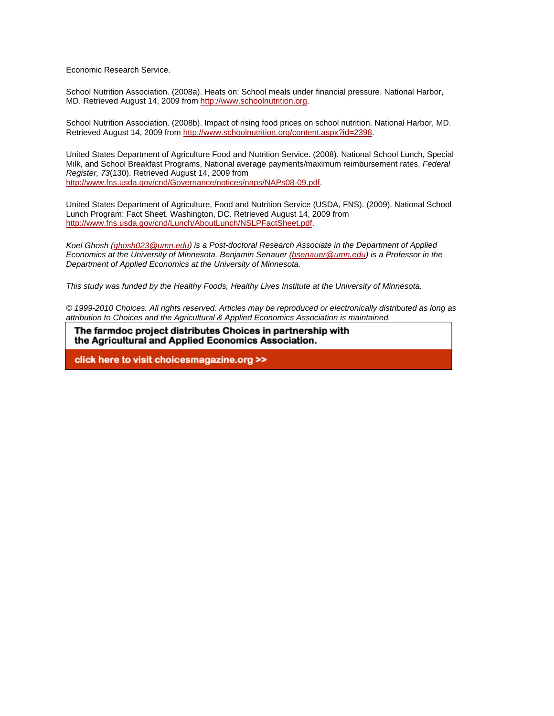Economic Research Service.

School Nutrition Association. (2008a). Heats on: School meals under financial pressure. National Harbor, MD. Retrieved August 14, 2009 from http://www.schoolnutrition.org.

School Nutrition Association. (2008b). Impact of rising food prices on school nutrition. National Harbor, MD. Retrieved August 14, 2009 from http://www.schoolnutrition.org/content.aspx?id=2398.

United States Department of Agriculture Food and Nutrition Service. (2008). National School Lunch, Special Milk, and School Breakfast Programs, National average payments/maximum reimbursement rates. *Federal Register, 73*(130). Retrieved August 14, 2009 from http://www.fns.usda.gov/cnd/Governance/notices/naps/NAPs08-09.pdf.

United States Department of Agriculture, Food and Nutrition Service (USDA, FNS). (2009). National School Lunch Program: Fact Sheet. Washington, DC. Retrieved August 14, 2009 from http://www.fns.usda.gov/cnd/Lunch/AboutLunch/NSLPFactSheet.pdf.

*Koel Ghosh (ghosh023@umn.edu) is a Post-doctoral Research Associate in the Department of Applied Economics at the University of Minnesota. Benjamin Senauer (bsenauer@umn.edu) is a Professor in the Department of Applied Economics at the University of Minnesota.* 

*This study was funded by the Healthy Foods, Healthy Lives Institute at the University of Minnesota.*

*© 1999-2010 Choices. All rights reserved. Articles may be reproduced or electronically distributed as long as attribution to Choices and the Agricultural & Applied Economics Association is maintained.*

The farmdoc project distributes Choices in partnership with the Agricultural and Applied Economics Association.

click here to visit choicesmagazine.org >>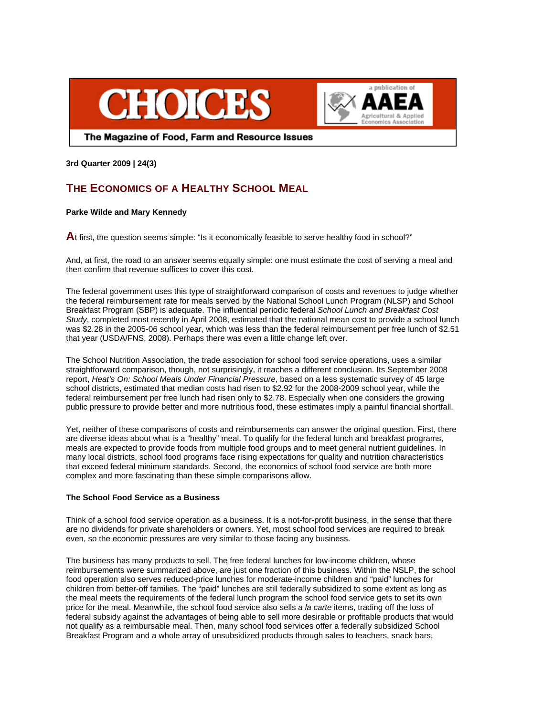



The Magazine of Food, Farm and Resource Issues

**3rd Quarter 2009 | 24(3)** 

# **THE ECONOMICS OF A HEALTHY SCHOOL MEAL**

## **Parke Wilde and Mary Kennedy**

**A**t first, the question seems simple: "Is it economically feasible to serve healthy food in school?"

And, at first, the road to an answer seems equally simple: one must estimate the cost of serving a meal and then confirm that revenue suffices to cover this cost.

The federal government uses this type of straightforward comparison of costs and revenues to judge whether the federal reimbursement rate for meals served by the National School Lunch Program (NLSP) and School Breakfast Program (SBP) is adequate. The influential periodic federal *School Lunch and Breakfast Cost Study*, completed most recently in April 2008, estimated that the national mean cost to provide a school lunch was \$2.28 in the 2005-06 school year, which was less than the federal reimbursement per free lunch of \$2.51 that year (USDA/FNS, 2008). Perhaps there was even a little change left over.

The School Nutrition Association, the trade association for school food service operations, uses a similar straightforward comparison, though, not surprisingly, it reaches a different conclusion. Its September 2008 report, *Heat's On: School Meals Under Financial Pressure*, based on a less systematic survey of 45 large school districts, estimated that median costs had risen to \$2.92 for the 2008-2009 school year, while the federal reimbursement per free lunch had risen only to \$2.78. Especially when one considers the growing public pressure to provide better and more nutritious food, these estimates imply a painful financial shortfall.

Yet, neither of these comparisons of costs and reimbursements can answer the original question. First, there are diverse ideas about what is a "healthy" meal. To qualify for the federal lunch and breakfast programs, meals are expected to provide foods from multiple food groups and to meet general nutrient guidelines. In many local districts, school food programs face rising expectations for quality and nutrition characteristics that exceed federal minimum standards. Second, the economics of school food service are both more complex and more fascinating than these simple comparisons allow.

## **The School Food Service as a Business**

Think of a school food service operation as a business. It is a not-for-profit business, in the sense that there are no dividends for private shareholders or owners. Yet, most school food services are required to break even, so the economic pressures are very similar to those facing any business.

The business has many products to sell. The free federal lunches for low-income children, whose reimbursements were summarized above, are just one fraction of this business. Within the NSLP, the school food operation also serves reduced-price lunches for moderate-income children and "paid" lunches for children from better-off families. The "paid" lunches are still federally subsidized to some extent as long as the meal meets the requirements of the federal lunch program the school food service gets to set its own price for the meal. Meanwhile, the school food service also sells *a la carte* items, trading off the loss of federal subsidy against the advantages of being able to sell more desirable or profitable products that would not qualify as a reimbursable meal. Then, many school food services offer a federally subsidized School Breakfast Program and a whole array of unsubsidized products through sales to teachers, snack bars,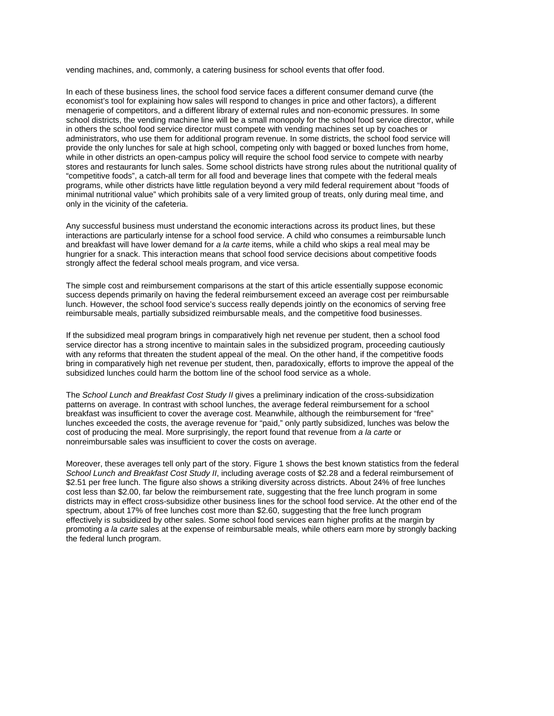vending machines, and, commonly, a catering business for school events that offer food.

In each of these business lines, the school food service faces a different consumer demand curve (the economist's tool for explaining how sales will respond to changes in price and other factors), a different menagerie of competitors, and a different library of external rules and non-economic pressures. In some school districts, the vending machine line will be a small monopoly for the school food service director, while in others the school food service director must compete with vending machines set up by coaches or administrators, who use them for additional program revenue. In some districts, the school food service will provide the only lunches for sale at high school, competing only with bagged or boxed lunches from home, while in other districts an open-campus policy will require the school food service to compete with nearby stores and restaurants for lunch sales. Some school districts have strong rules about the nutritional quality of "competitive foods", a catch-all term for all food and beverage lines that compete with the federal meals programs, while other districts have little regulation beyond a very mild federal requirement about "foods of minimal nutritional value" which prohibits sale of a very limited group of treats, only during meal time, and only in the vicinity of the cafeteria.

Any successful business must understand the economic interactions across its product lines, but these interactions are particularly intense for a school food service. A child who consumes a reimbursable lunch and breakfast will have lower demand for *a la carte* items, while a child who skips a real meal may be hungrier for a snack. This interaction means that school food service decisions about competitive foods strongly affect the federal school meals program, and vice versa.

The simple cost and reimbursement comparisons at the start of this article essentially suppose economic success depends primarily on having the federal reimbursement exceed an average cost per reimbursable lunch. However, the school food service's success really depends jointly on the economics of serving free reimbursable meals, partially subsidized reimbursable meals, and the competitive food businesses.

If the subsidized meal program brings in comparatively high net revenue per student, then a school food service director has a strong incentive to maintain sales in the subsidized program, proceeding cautiously with any reforms that threaten the student appeal of the meal. On the other hand, if the competitive foods bring in comparatively high net revenue per student, then, paradoxically, efforts to improve the appeal of the subsidized lunches could harm the bottom line of the school food service as a whole.

The *School Lunch and Breakfast Cost Study II* gives a preliminary indication of the cross-subsidization patterns on average. In contrast with school lunches, the average federal reimbursement for a school breakfast was insufficient to cover the average cost. Meanwhile, although the reimbursement for "free" lunches exceeded the costs, the average revenue for "paid," only partly subsidized, lunches was below the cost of producing the meal. More surprisingly, the report found that revenue from *a la carte* or nonreimbursable sales was insufficient to cover the costs on average.

Moreover, these averages tell only part of the story. Figure 1 shows the best known statistics from the federal *School Lunch and Breakfast Cost Study II*, including average costs of \$2.28 and a federal reimbursement of \$2.51 per free lunch. The figure also shows a striking diversity across districts. About 24% of free lunches cost less than \$2.00, far below the reimbursement rate, suggesting that the free lunch program in some districts may in effect cross-subsidize other business lines for the school food service. At the other end of the spectrum, about 17% of free lunches cost more than \$2.60, suggesting that the free lunch program effectively is subsidized by other sales. Some school food services earn higher profits at the margin by promoting *a la carte* sales at the expense of reimbursable meals, while others earn more by strongly backing the federal lunch program.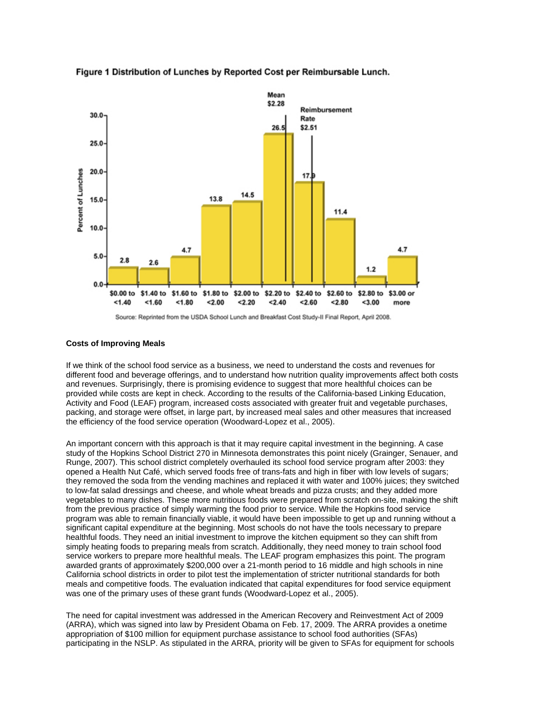

Figure 1 Distribution of Lunches by Reported Cost per Reimbursable Lunch.



#### **Costs of Improving Meals**

If we think of the school food service as a business, we need to understand the costs and revenues for different food and beverage offerings, and to understand how nutrition quality improvements affect both costs and revenues. Surprisingly, there is promising evidence to suggest that more healthful choices can be provided while costs are kept in check. According to the results of the California-based Linking Education, Activity and Food (LEAF) program, increased costs associated with greater fruit and vegetable purchases, packing, and storage were offset, in large part, by increased meal sales and other measures that increased the efficiency of the food service operation (Woodward-Lopez et al., 2005).

An important concern with this approach is that it may require capital investment in the beginning. A case study of the Hopkins School District 270 in Minnesota demonstrates this point nicely (Grainger, Senauer, and Runge, 2007). This school district completely overhauled its school food service program after 2003: they opened a Health Nut Café, which served foods free of trans-fats and high in fiber with low levels of sugars; they removed the soda from the vending machines and replaced it with water and 100% juices; they switched to low-fat salad dressings and cheese, and whole wheat breads and pizza crusts; and they added more vegetables to many dishes. These more nutritious foods were prepared from scratch on-site, making the shift from the previous practice of simply warming the food prior to service. While the Hopkins food service program was able to remain financially viable, it would have been impossible to get up and running without a significant capital expenditure at the beginning. Most schools do not have the tools necessary to prepare healthful foods. They need an initial investment to improve the kitchen equipment so they can shift from simply heating foods to preparing meals from scratch. Additionally, they need money to train school food service workers to prepare more healthful meals. The LEAF program emphasizes this point. The program awarded grants of approximately \$200,000 over a 21-month period to 16 middle and high schools in nine California school districts in order to pilot test the implementation of stricter nutritional standards for both meals and competitive foods. The evaluation indicated that capital expenditures for food service equipment was one of the primary uses of these grant funds (Woodward-Lopez et al., 2005).

The need for capital investment was addressed in the American Recovery and Reinvestment Act of 2009 (ARRA), which was signed into law by President Obama on Feb. 17, 2009. The ARRA provides a onetime appropriation of \$100 million for equipment purchase assistance to school food authorities (SFAs) participating in the NSLP. As stipulated in the ARRA, priority will be given to SFAs for equipment for schools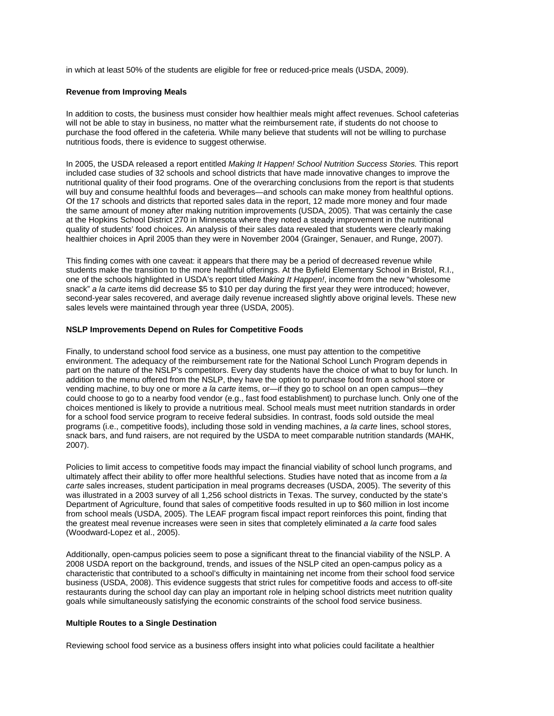in which at least 50% of the students are eligible for free or reduced-price meals (USDA, 2009).

### **Revenue from Improving Meals**

In addition to costs, the business must consider how healthier meals might affect revenues. School cafeterias will not be able to stay in business, no matter what the reimbursement rate, if students do not choose to purchase the food offered in the cafeteria. While many believe that students will not be willing to purchase nutritious foods, there is evidence to suggest otherwise.

In 2005, the USDA released a report entitled *Making It Happen! School Nutrition Success Stories.* This report included case studies of 32 schools and school districts that have made innovative changes to improve the nutritional quality of their food programs. One of the overarching conclusions from the report is that students will buy and consume healthful foods and beverages—and schools can make money from healthful options. Of the 17 schools and districts that reported sales data in the report, 12 made more money and four made the same amount of money after making nutrition improvements (USDA, 2005). That was certainly the case at the Hopkins School District 270 in Minnesota where they noted a steady improvement in the nutritional quality of students' food choices. An analysis of their sales data revealed that students were clearly making healthier choices in April 2005 than they were in November 2004 (Grainger, Senauer, and Runge, 2007).

This finding comes with one caveat: it appears that there may be a period of decreased revenue while students make the transition to the more healthful offerings. At the Byfield Elementary School in Bristol, R.I., one of the schools highlighted in USDA's report titled *Making It Happen!*, income from the new "wholesome snack" *a la carte* items did decrease \$5 to \$10 per day during the first year they were introduced; however, second-year sales recovered, and average daily revenue increased slightly above original levels. These new sales levels were maintained through year three (USDA, 2005).

#### **NSLP Improvements Depend on Rules for Competitive Foods**

Finally, to understand school food service as a business, one must pay attention to the competitive environment. The adequacy of the reimbursement rate for the National School Lunch Program depends in part on the nature of the NSLP's competitors. Every day students have the choice of what to buy for lunch. In addition to the menu offered from the NSLP, they have the option to purchase food from a school store or vending machine, to buy one or more *a la carte* items, or—if they go to school on an open campus—they could choose to go to a nearby food vendor (e.g., fast food establishment) to purchase lunch. Only one of the choices mentioned is likely to provide a nutritious meal. School meals must meet nutrition standards in order for a school food service program to receive federal subsidies. In contrast, foods sold outside the meal programs (i.e., competitive foods), including those sold in vending machines, *a la carte* lines, school stores, snack bars, and fund raisers, are not required by the USDA to meet comparable nutrition standards (MAHK, 2007).

Policies to limit access to competitive foods may impact the financial viability of school lunch programs, and ultimately affect their ability to offer more healthful selections. Studies have noted that as income from *a la carte* sales increases, student participation in meal programs decreases (USDA, 2005). The severity of this was illustrated in a 2003 survey of all 1,256 school districts in Texas. The survey, conducted by the state's Department of Agriculture, found that sales of competitive foods resulted in up to \$60 million in lost income from school meals (USDA, 2005). The LEAF program fiscal impact report reinforces this point, finding that the greatest meal revenue increases were seen in sites that completely eliminated *a la carte* food sales (Woodward-Lopez et al., 2005).

Additionally, open-campus policies seem to pose a significant threat to the financial viability of the NSLP. A 2008 USDA report on the background, trends, and issues of the NSLP cited an open-campus policy as a characteristic that contributed to a school's difficulty in maintaining net income from their school food service business (USDA, 2008). This evidence suggests that strict rules for competitive foods and access to off-site restaurants during the school day can play an important role in helping school districts meet nutrition quality goals while simultaneously satisfying the economic constraints of the school food service business.

#### **Multiple Routes to a Single Destination**

Reviewing school food service as a business offers insight into what policies could facilitate a healthier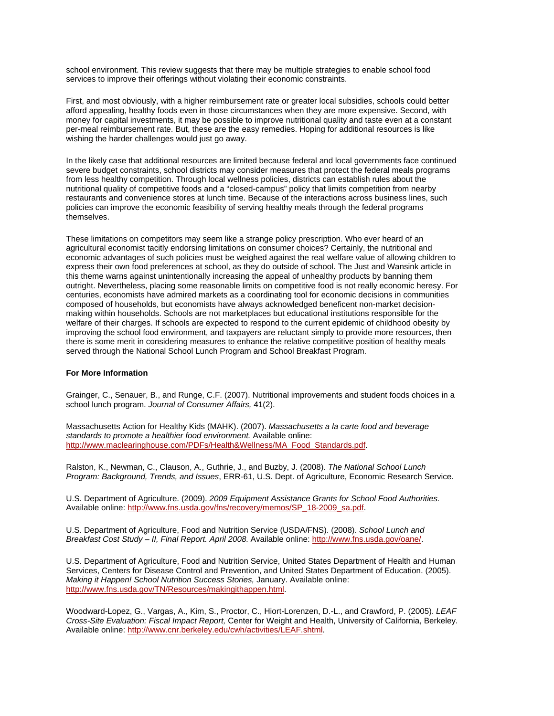school environment. This review suggests that there may be multiple strategies to enable school food services to improve their offerings without violating their economic constraints.

First, and most obviously, with a higher reimbursement rate or greater local subsidies, schools could better afford appealing, healthy foods even in those circumstances when they are more expensive. Second, with money for capital investments, it may be possible to improve nutritional quality and taste even at a constant per-meal reimbursement rate. But, these are the easy remedies. Hoping for additional resources is like wishing the harder challenges would just go away.

In the likely case that additional resources are limited because federal and local governments face continued severe budget constraints, school districts may consider measures that protect the federal meals programs from less healthy competition. Through local wellness policies, districts can establish rules about the nutritional quality of competitive foods and a "closed-campus" policy that limits competition from nearby restaurants and convenience stores at lunch time. Because of the interactions across business lines, such policies can improve the economic feasibility of serving healthy meals through the federal programs themselves.

These limitations on competitors may seem like a strange policy prescription. Who ever heard of an agricultural economist tacitly endorsing limitations on consumer choices? Certainly, the nutritional and economic advantages of such policies must be weighed against the real welfare value of allowing children to express their own food preferences at school, as they do outside of school. The Just and Wansink article in this theme warns against unintentionally increasing the appeal of unhealthy products by banning them outright. Nevertheless, placing some reasonable limits on competitive food is not really economic heresy. For centuries, economists have admired markets as a coordinating tool for economic decisions in communities composed of households, but economists have always acknowledged beneficent non-market decisionmaking within households. Schools are not marketplaces but educational institutions responsible for the welfare of their charges. If schools are expected to respond to the current epidemic of childhood obesity by improving the school food environment, and taxpayers are reluctant simply to provide more resources, then there is some merit in considering measures to enhance the relative competitive position of healthy meals served through the National School Lunch Program and School Breakfast Program.

## **For More Information**

Grainger, C., Senauer, B., and Runge, C.F. (2007). Nutritional improvements and student foods choices in a school lunch program. *Journal of Consumer Affairs,* 41(2).

Massachusetts Action for Healthy Kids (MAHK). (2007). *Massachusetts a la carte food and beverage standards to promote a healthier food environment.* Available online: http://www.maclearinghouse.com/PDFs/Health&Wellness/MA\_Food\_Standards.pdf.

Ralston, K., Newman, C., Clauson, A., Guthrie, J., and Buzby, J. (2008). *The National School Lunch Program: Background, Trends, and Issues*, ERR-61, U.S. Dept. of Agriculture, Economic Research Service.

U.S. Department of Agriculture. (2009). *2009 Equipment Assistance Grants for School Food Authorities.* Available online: http://www.fns.usda.gov/fns/recovery/memos/SP\_18-2009\_sa.pdf.

U.S. Department of Agriculture, Food and Nutrition Service (USDA/FNS). (2008). *School Lunch and Breakfast Cost Study – II, Final Report. April 2008*. Available online: http://www.fns.usda.gov/oane/.

U.S. Department of Agriculture, Food and Nutrition Service, United States Department of Health and Human Services, Centers for Disease Control and Prevention, and United States Department of Education. (2005). *Making it Happen! School Nutrition Success Stories,* January. Available online: http://www.fns.usda.gov/TN/Resources/makingithappen.html.

Woodward-Lopez, G., Vargas, A., Kim, S., Proctor, C., Hiort-Lorenzen, D.-L., and Crawford, P. (2005). *LEAF Cross-Site Evaluation: Fiscal Impact Report,* Center for Weight and Health, University of California, Berkeley. Available online: http://www.cnr.berkeley.edu/cwh/activities/LEAF.shtml.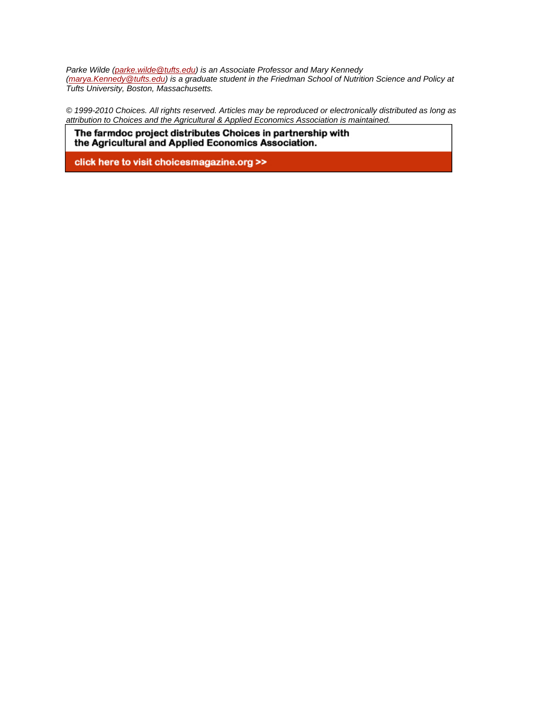*Parke Wilde (parke.wilde@tufts.edu) is an Associate Professor and Mary Kennedy (marya.Kennedy@tufts.edu) is a graduate student in the Friedman School of Nutrition Science and Policy at Tufts University, Boston, Massachusetts.* 

*© 1999-2010 Choices. All rights reserved. Articles may be reproduced or electronically distributed as long as attribution to Choices and the Agricultural & Applied Economics Association is maintained.*

The farmdoc project distributes Choices in partnership with the Agricultural and Applied Economics Association.

click here to visit choicesmagazine.org >>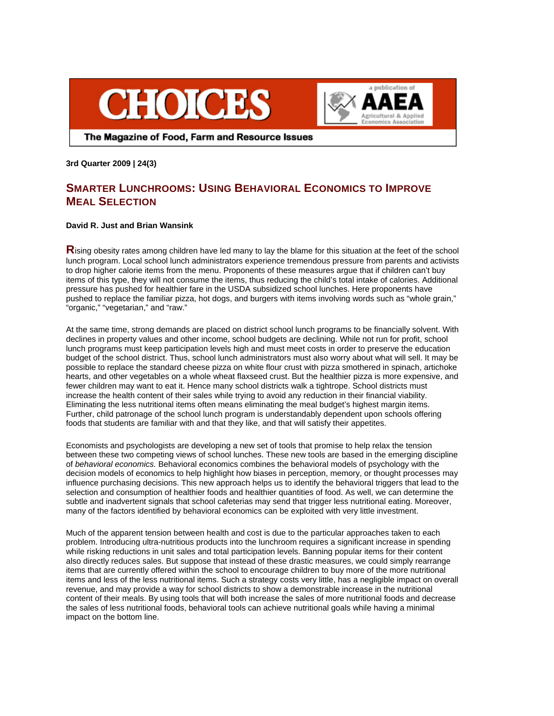



The Magazine of Food, Farm and Resource Issues

**3rd Quarter 2009 | 24(3)** 

# **SMARTER LUNCHROOMS: USING BEHAVIORAL ECONOMICS TO IMPROVE MEAL SELECTION**

## **David R. Just and Brian Wansink**

**R**ising obesity rates among children have led many to lay the blame for this situation at the feet of the school lunch program. Local school lunch administrators experience tremendous pressure from parents and activists to drop higher calorie items from the menu. Proponents of these measures argue that if children can't buy items of this type, they will not consume the items, thus reducing the child's total intake of calories. Additional pressure has pushed for healthier fare in the USDA subsidized school lunches. Here proponents have pushed to replace the familiar pizza, hot dogs, and burgers with items involving words such as "whole grain," "organic," "vegetarian," and "raw."

At the same time, strong demands are placed on district school lunch programs to be financially solvent. With declines in property values and other income, school budgets are declining. While not run for profit, school lunch programs must keep participation levels high and must meet costs in order to preserve the education budget of the school district. Thus, school lunch administrators must also worry about what will sell. It may be possible to replace the standard cheese pizza on white flour crust with pizza smothered in spinach, artichoke hearts, and other vegetables on a whole wheat flaxseed crust. But the healthier pizza is more expensive, and fewer children may want to eat it. Hence many school districts walk a tightrope. School districts must increase the health content of their sales while trying to avoid any reduction in their financial viability. Eliminating the less nutritional items often means eliminating the meal budget's highest margin items. Further, child patronage of the school lunch program is understandably dependent upon schools offering foods that students are familiar with and that they like, and that will satisfy their appetites.

Economists and psychologists are developing a new set of tools that promise to help relax the tension between these two competing views of school lunches. These new tools are based in the emerging discipline of *behavioral economics.* Behavioral economics combines the behavioral models of psychology with the decision models of economics to help highlight how biases in perception, memory, or thought processes may influence purchasing decisions. This new approach helps us to identify the behavioral triggers that lead to the selection and consumption of healthier foods and healthier quantities of food. As well, we can determine the subtle and inadvertent signals that school cafeterias may send that trigger less nutritional eating. Moreover, many of the factors identified by behavioral economics can be exploited with very little investment.

Much of the apparent tension between health and cost is due to the particular approaches taken to each problem. Introducing ultra-nutritious products into the lunchroom requires a significant increase in spending while risking reductions in unit sales and total participation levels. Banning popular items for their content also directly reduces sales. But suppose that instead of these drastic measures, we could simply rearrange items that are currently offered within the school to encourage children to buy more of the more nutritional items and less of the less nutritional items. Such a strategy costs very little, has a negligible impact on overall revenue, and may provide a way for school districts to show a demonstrable increase in the nutritional content of their meals. By using tools that will both increase the sales of more nutritional foods and decrease the sales of less nutritional foods, behavioral tools can achieve nutritional goals while having a minimal impact on the bottom line.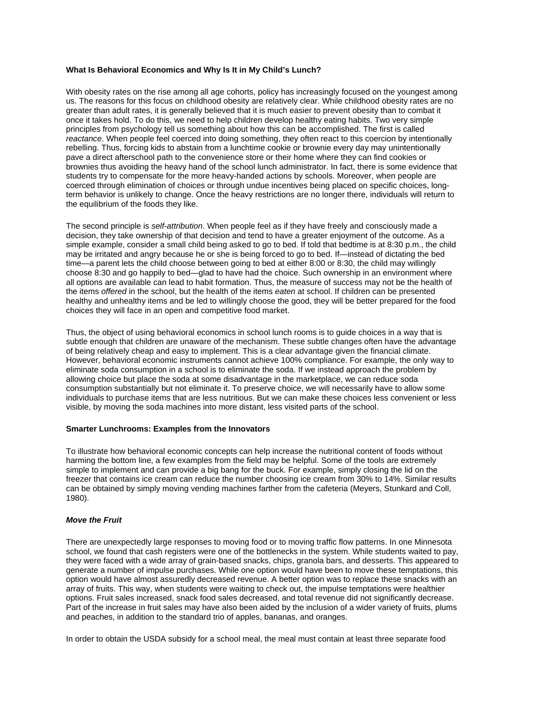## **What Is Behavioral Economics and Why Is It in My Child's Lunch?**

With obesity rates on the rise among all age cohorts, policy has increasingly focused on the youngest among us. The reasons for this focus on childhood obesity are relatively clear. While childhood obesity rates are no greater than adult rates, it is generally believed that it is much easier to prevent obesity than to combat it once it takes hold. To do this, we need to help children develop healthy eating habits. Two very simple principles from psychology tell us something about how this can be accomplished. The first is called *reactance*. When people feel coerced into doing something, they often react to this coercion by intentionally rebelling. Thus, forcing kids to abstain from a lunchtime cookie or brownie every day may unintentionally pave a direct afterschool path to the convenience store or their home where they can find cookies or brownies thus avoiding the heavy hand of the school lunch administrator. In fact, there is some evidence that students try to compensate for the more heavy-handed actions by schools. Moreover, when people are coerced through elimination of choices or through undue incentives being placed on specific choices, longterm behavior is unlikely to change. Once the heavy restrictions are no longer there, individuals will return to the equilibrium of the foods they like.

The second principle is *self-attribution*. When people feel as if they have freely and consciously made a decision, they take ownership of that decision and tend to have a greater enjoyment of the outcome. As a simple example, consider a small child being asked to go to bed. If told that bedtime is at 8:30 p.m., the child may be irritated and angry because he or she is being forced to go to bed. If—instead of dictating the bed time—a parent lets the child choose between going to bed at either 8:00 or 8:30, the child may willingly choose 8:30 and go happily to bed—glad to have had the choice. Such ownership in an environment where all options are available can lead to habit formation. Thus, the measure of success may not be the health of the items *offered* in the school, but the health of the items *eaten* at school. If children can be presented healthy and unhealthy items and be led to willingly choose the good, they will be better prepared for the food choices they will face in an open and competitive food market.

Thus, the object of using behavioral economics in school lunch rooms is to guide choices in a way that is subtle enough that children are unaware of the mechanism. These subtle changes often have the advantage of being relatively cheap and easy to implement. This is a clear advantage given the financial climate. However, behavioral economic instruments cannot achieve 100% compliance. For example, the only way to eliminate soda consumption in a school is to eliminate the soda. If we instead approach the problem by allowing choice but place the soda at some disadvantage in the marketplace, we can reduce soda consumption substantially but not eliminate it. To preserve choice, we will necessarily have to allow some individuals to purchase items that are less nutritious. But we can make these choices less convenient or less visible, by moving the soda machines into more distant, less visited parts of the school.

#### **Smarter Lunchrooms: Examples from the Innovators**

To illustrate how behavioral economic concepts can help increase the nutritional content of foods without harming the bottom line, a few examples from the field may be helpful. Some of the tools are extremely simple to implement and can provide a big bang for the buck. For example, simply closing the lid on the freezer that contains ice cream can reduce the number choosing ice cream from 30% to 14%. Similar results can be obtained by simply moving vending machines farther from the cafeteria (Meyers, Stunkard and Coll, 1980).

### *Move the Fruit*

There are unexpectedly large responses to moving food or to moving traffic flow patterns. In one Minnesota school, we found that cash registers were one of the bottlenecks in the system. While students waited to pay, they were faced with a wide array of grain-based snacks, chips, granola bars, and desserts. This appeared to generate a number of impulse purchases. While one option would have been to move these temptations, this option would have almost assuredly decreased revenue. A better option was to replace these snacks with an array of fruits. This way, when students were waiting to check out, the impulse temptations were healthier options. Fruit sales increased, snack food sales decreased, and total revenue did not significantly decrease. Part of the increase in fruit sales may have also been aided by the inclusion of a wider variety of fruits, plums and peaches, in addition to the standard trio of apples, bananas, and oranges.

In order to obtain the USDA subsidy for a school meal, the meal must contain at least three separate food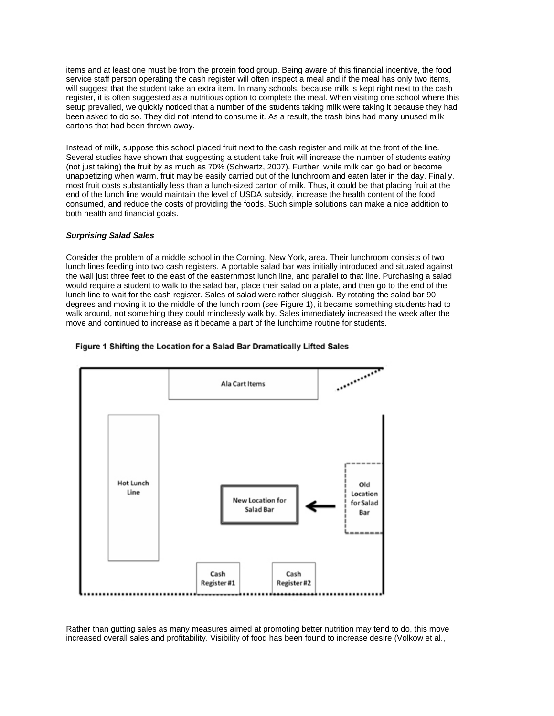items and at least one must be from the protein food group. Being aware of this financial incentive, the food service staff person operating the cash register will often inspect a meal and if the meal has only two items, will suggest that the student take an extra item. In many schools, because milk is kept right next to the cash register, it is often suggested as a nutritious option to complete the meal. When visiting one school where this setup prevailed, we quickly noticed that a number of the students taking milk were taking it because they had been asked to do so. They did not intend to consume it. As a result, the trash bins had many unused milk cartons that had been thrown away.

Instead of milk, suppose this school placed fruit next to the cash register and milk at the front of the line. Several studies have shown that suggesting a student take fruit will increase the number of students *eating* (not just taking) the fruit by as much as 70% (Schwartz, 2007). Further, while milk can go bad or become unappetizing when warm, fruit may be easily carried out of the lunchroom and eaten later in the day. Finally, most fruit costs substantially less than a lunch-sized carton of milk. Thus, it could be that placing fruit at the end of the lunch line would maintain the level of USDA subsidy, increase the health content of the food consumed, and reduce the costs of providing the foods. Such simple solutions can make a nice addition to both health and financial goals.

#### *Surprising Salad Sales*

Consider the problem of a middle school in the Corning, New York, area. Their lunchroom consists of two lunch lines feeding into two cash registers. A portable salad bar was initially introduced and situated against the wall just three feet to the east of the easternmost lunch line, and parallel to that line. Purchasing a salad would require a student to walk to the salad bar, place their salad on a plate, and then go to the end of the lunch line to wait for the cash register. Sales of salad were rather sluggish. By rotating the salad bar 90 degrees and moving it to the middle of the lunch room (see Figure 1), it became something students had to walk around, not something they could mindlessly walk by. Sales immediately increased the week after the move and continued to increase as it became a part of the lunchtime routine for students.



#### Figure 1 Shifting the Location for a Salad Bar Dramatically Lifted Sales

Rather than gutting sales as many measures aimed at promoting better nutrition may tend to do, this move increased overall sales and profitability. Visibility of food has been found to increase desire (Volkow et al.,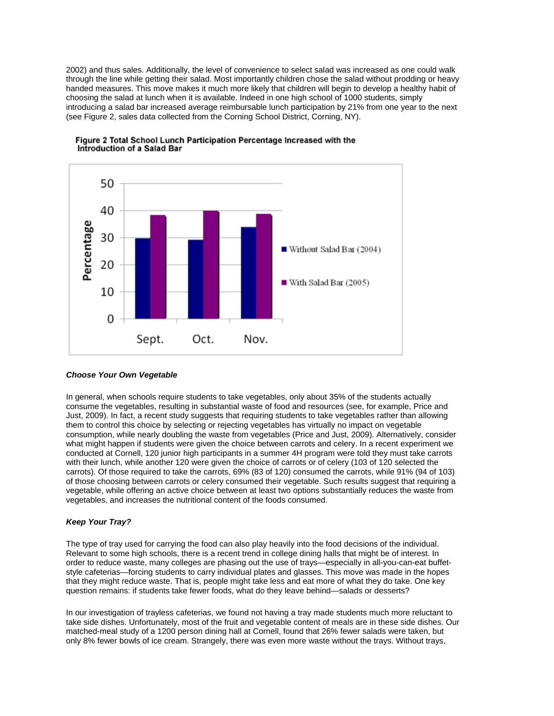2002) and thus sales. Additionally, the level of convenience to select salad was increased as one could walk through the line while getting their salad. Most importantly children chose the salad without prodding or heavy handed measures. This move makes it much more likely that children will begin to develop a healthy habit of choosing the salad at lunch when it is available. Indeed in one high school of 1000 students, simply introducing a salad bar increased average reimbursable lunch participation by 21% from one year to the next (see Figure 2, sales data collected from the Corning School District, Corning, NY).





## *Choose Your Own Vegetable*

In general, when schools require students to take vegetables, only about 35% of the students actually consume the vegetables, resulting in substantial waste of food and resources (see, for example, Price and Just, 2009). In fact, a recent study suggests that requiring students to take vegetables rather than allowing them to control this choice by selecting or rejecting vegetables has virtually no impact on vegetable consumption, while nearly doubling the waste from vegetables (Price and Just, 2009). Alternatively, consider what might happen if students were given the choice between carrots and celery. In a recent experiment we conducted at Cornell, 120 junior high participants in a summer 4H program were told they must take carrots with their lunch, while another 120 were given the choice of carrots or of celery (103 of 120 selected the carrots). Of those required to take the carrots, 69% (83 of 120) consumed the carrots, while 91% (94 of 103) of those choosing between carrots or celery consumed their vegetable. Such results suggest that requiring a vegetable, while offering an active choice between at least two options substantially reduces the waste from vegetables, and increases the nutritional content of the foods consumed.

## *Keep Your Tray?*

The type of tray used for carrying the food can also play heavily into the food decisions of the individual. Relevant to some high schools, there is a recent trend in college dining halls that might be of interest. In order to reduce waste, many colleges are phasing out the use of trays—especially in all-you-can-eat buffetstyle cafeterias—forcing students to carry individual plates and glasses. This move was made in the hopes that they might reduce waste. That is, people might take less and eat more of what they do take. One key question remains: if students take fewer foods, what do they leave behind—salads or desserts?

In our investigation of trayless cafeterias, we found not having a tray made students much more reluctant to take side dishes. Unfortunately, most of the fruit and vegetable content of meals are in these side dishes. Our matched-meal study of a 1200 person dining hall at Cornell, found that 26% fewer salads were taken, but only 8% fewer bowls of ice cream. Strangely, there was even more waste without the trays. Without trays,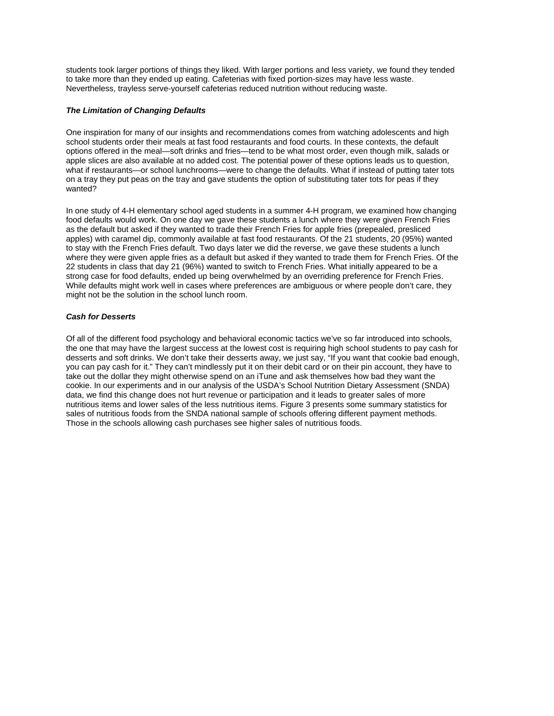students took larger portions of things they liked. With larger portions and less variety, we found they tended to take more than they ended up eating. Cafeterias with fixed portion-sizes may have less waste. Nevertheless, trayless serve-yourself cafeterias reduced nutrition without reducing waste.

### *The Limitation of Changing Defaults*

One inspiration for many of our insights and recommendations comes from watching adolescents and high school students order their meals at fast food restaurants and food courts. In these contexts, the default options offered in the meal—soft drinks and fries—tend to be what most order, even though milk, salads or apple slices are also available at no added cost. The potential power of these options leads us to question, what if restaurants—or school lunchrooms—were to change the defaults. What if instead of putting tater tots on a tray they put peas on the tray and gave students the option of substituting tater tots for peas if they wanted?

In one study of 4-H elementary school aged students in a summer 4-H program, we examined how changing food defaults would work. On one day we gave these students a lunch where they were given French Fries as the default but asked if they wanted to trade their French Fries for apple fries (prepealed, presliced apples) with caramel dip, commonly available at fast food restaurants. Of the 21 students, 20 (95%) wanted to stay with the French Fries default. Two days later we did the reverse, we gave these students a lunch where they were given apple fries as a default but asked if they wanted to trade them for French Fries. Of the 22 students in class that day 21 (96%) wanted to switch to French Fries. What initially appeared to be a strong case for food defaults, ended up being overwhelmed by an overriding preference for French Fries. While defaults might work well in cases where preferences are ambiguous or where people don't care, they might not be the solution in the school lunch room.

#### *Cash for Desserts*

Of all of the different food psychology and behavioral economic tactics we've so far introduced into schools, the one that may have the largest success at the lowest cost is requiring high school students to pay cash for desserts and soft drinks. We don't take their desserts away, we just say, "If you want that cookie bad enough, you can pay cash for it." They can't mindlessly put it on their debit card or on their pin account, they have to take out the dollar they might otherwise spend on an iTune and ask themselves how bad they want the cookie. In our experiments and in our analysis of the USDA's School Nutrition Dietary Assessment (SNDA) data, we find this change does not hurt revenue or participation and it leads to greater sales of more nutritious items and lower sales of the less nutritious items. Figure 3 presents some summary statistics for sales of nutritious foods from the SNDA national sample of schools offering different payment methods. Those in the schools allowing cash purchases see higher sales of nutritious foods.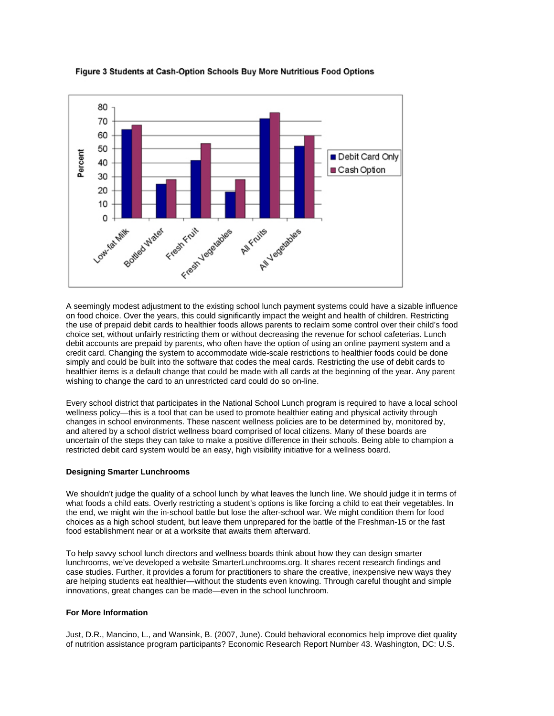

Figure 3 Students at Cash-Option Schools Buy More Nutritious Food Options

A seemingly modest adjustment to the existing school lunch payment systems could have a sizable influence on food choice. Over the years, this could significantly impact the weight and health of children. Restricting the use of prepaid debit cards to healthier foods allows parents to reclaim some control over their child's food choice set, without unfairly restricting them or without decreasing the revenue for school cafeterias. Lunch debit accounts are prepaid by parents, who often have the option of using an online payment system and a credit card. Changing the system to accommodate wide-scale restrictions to healthier foods could be done simply and could be built into the software that codes the meal cards. Restricting the use of debit cards to healthier items is a default change that could be made with all cards at the beginning of the year. Any parent wishing to change the card to an unrestricted card could do so on-line.

Every school district that participates in the National School Lunch program is required to have a local school wellness policy—this is a tool that can be used to promote healthier eating and physical activity through changes in school environments. These nascent wellness policies are to be determined by, monitored by, and altered by a school district wellness board comprised of local citizens. Many of these boards are uncertain of the steps they can take to make a positive difference in their schools. Being able to champion a restricted debit card system would be an easy, high visibility initiative for a wellness board.

#### **Designing Smarter Lunchrooms**

We shouldn't judge the quality of a school lunch by what leaves the lunch line. We should judge it in terms of what foods a child eats. Overly restricting a student's options is like forcing a child to eat their vegetables. In the end, we might win the in-school battle but lose the after-school war. We might condition them for food choices as a high school student, but leave them unprepared for the battle of the Freshman-15 or the fast food establishment near or at a worksite that awaits them afterward.

To help savvy school lunch directors and wellness boards think about how they can design smarter lunchrooms, we've developed a website SmarterLunchrooms.org. It shares recent research findings and case studies. Further, it provides a forum for practitioners to share the creative, inexpensive new ways they are helping students eat healthier—without the students even knowing. Through careful thought and simple innovations, great changes can be made—even in the school lunchroom.

#### **For More Information**

Just, D.R., Mancino, L., and Wansink, B. (2007, June). Could behavioral economics help improve diet quality of nutrition assistance program participants? Economic Research Report Number 43. Washington, DC: U.S.